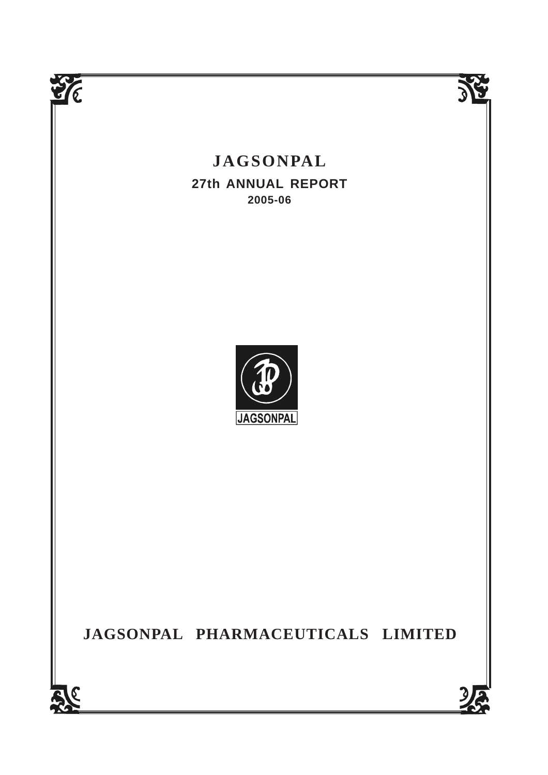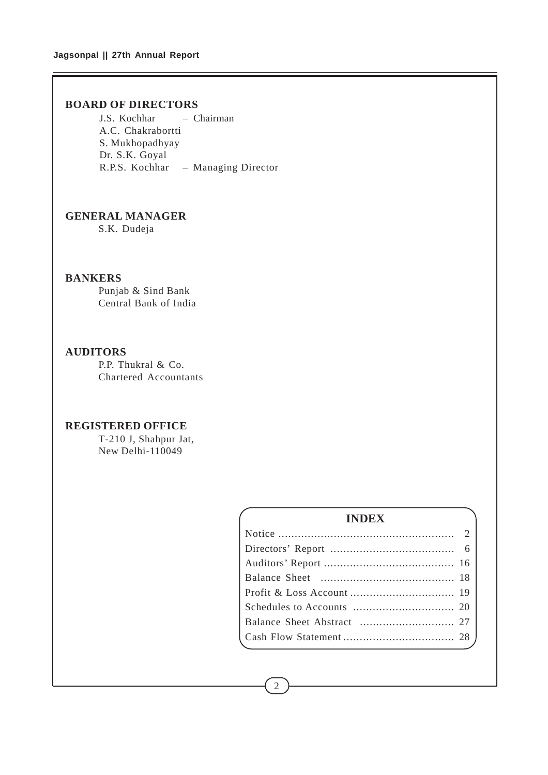## **BOARD OF DIRECTORS**

J.S. Kochhar – Chairman A.C. Chakrabortti S. Mukhopadhyay Dr. S.K. Goyal R.P.S. Kochhar – Managing Director

## **GENERAL MANAGER**

S.K. Dudeja

## **BANKERS**

Punjab & Sind Bank Central Bank of India

## **AUDITORS**

P.P. Thukral & Co. Chartered Accountants

## **REGISTERED OFFICE**

T-210 J, Shahpur Jat, New Delhi-110049

| <b>INDEX</b> |  |
|--------------|--|
|              |  |
|              |  |
|              |  |
|              |  |
|              |  |
|              |  |
|              |  |
|              |  |
|              |  |

2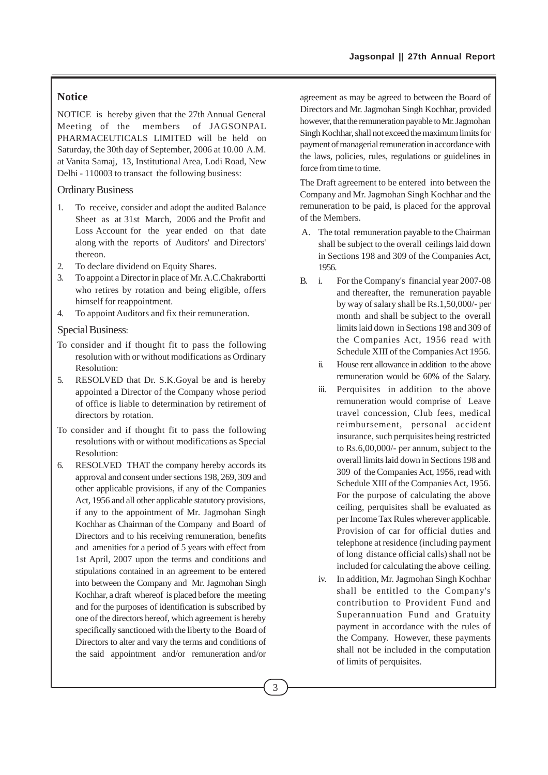## **Notice**

NOTICE is hereby given that the 27th Annual General Meeting of the members of JAGSONPAL PHARMACEUTICALS LIMITED will be held on Saturday, the 30th day of September, 2006 at 10.00 A.M. at Vanita Samaj, 13, Institutional Area, Lodi Road, New Delhi - 110003 to transact the following business:

## Ordinary Business

- 1. To receive, consider and adopt the audited Balance Sheet as at 31st March, 2006 and the Profit and Loss Account for the year ended on that date along with the reports of Auditors' and Directors' thereon.
- 2. To declare dividend on Equity Shares.
- 3. To appoint a Director in place of Mr. A.C.Chakrabortti who retires by rotation and being eligible, offers himself for reappointment.
- 4. To appoint Auditors and fix their remuneration.

### Special Business:

- To consider and if thought fit to pass the following resolution with or without modifications as Ordinary Resolution:
- 5. RESOLVED that Dr. S.K.Goyal be and is hereby appointed a Director of the Company whose period of office is liable to determination by retirement of directors by rotation.
- To consider and if thought fit to pass the following resolutions with or without modifications as Special Resolution:
- 6. RESOLVED THAT the company hereby accords its approval and consent under sections 198, 269, 309 and other applicable provisions, if any of the Companies Act, 1956 and all other applicable statutory provisions, if any to the appointment of Mr. Jagmohan Singh Kochhar as Chairman of the Company and Board of Directors and to his receiving remuneration, benefits and amenities for a period of 5 years with effect from 1st April, 2007 upon the terms and conditions and stipulations contained in an agreement to be entered into between the Company and Mr. Jagmohan Singh Kochhar, a draft whereof is placed before the meeting and for the purposes of identification is subscribed by one of the directors hereof, which agreement is hereby specifically sanctioned with the liberty to the Board of Directors to alter and vary the terms and conditions of the said appointment and/or remuneration and/or

agreement as may be agreed to between the Board of Directors and Mr. Jagmohan Singh Kochhar, provided however, that the remuneration payable to Mr. Jagmohan Singh Kochhar, shall not exceed the maximum limits for payment of managerial remuneration in accordance with the laws, policies, rules, regulations or guidelines in force from time to time.

The Draft agreement to be entered into between the Company and Mr. Jagmohan Singh Kochhar and the remuneration to be paid, is placed for the approval of the Members.

- A. The total remuneration payable to the Chairman shall be subject to the overall ceilings laid down in Sections 198 and 309 of the Companies Act, 1956.
- B. i. For the Company's financial year 2007-08 and thereafter, the remuneration payable by way of salary shall be Rs.1,50,000/- per month and shall be subject to the overall limits laid down in Sections 198 and 309 of the Companies Act, 1956 read with Schedule XIII of the Companies Act 1956.
	- ii. House rent allowance in addition to the above remuneration would be 60% of the Salary.
	- iii. Perquisites in addition to the above remuneration would comprise of Leave travel concession, Club fees, medical reimbursement, personal accident insurance, such perquisites being restricted to Rs.6,00,000/- per annum, subject to the overall limits laid down in Sections 198 and 309 of the Companies Act, 1956, read with Schedule XIII of the Companies Act, 1956. For the purpose of calculating the above ceiling, perquisites shall be evaluated as per Income Tax Rules wherever applicable. Provision of car for official duties and telephone at residence (including payment of long distance official calls) shall not be included for calculating the above ceiling.
	- iv. In addition, Mr. Jagmohan Singh Kochhar shall be entitled to the Company's contribution to Provident Fund and Superannuation Fund and Gratuity payment in accordance with the rules of the Company. However, these payments shall not be included in the computation of limits of perquisites.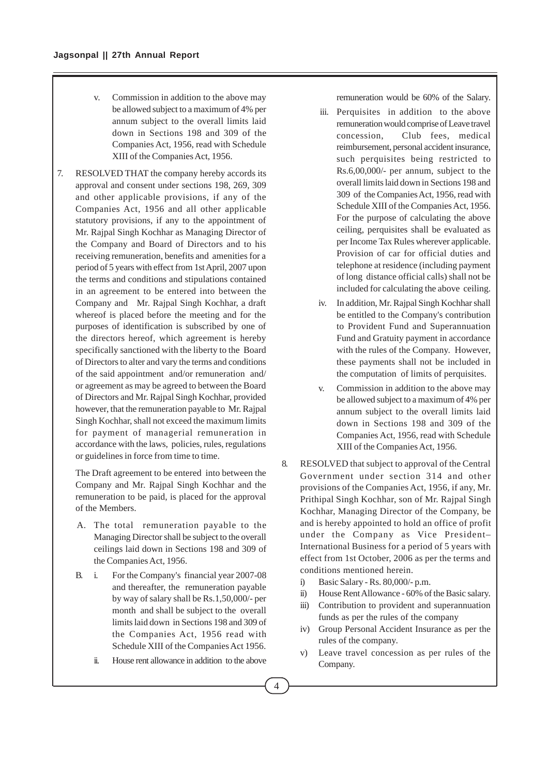- v. Commission in addition to the above may be allowed subject to a maximum of 4% per annum subject to the overall limits laid down in Sections 198 and 309 of the Companies Act, 1956, read with Schedule XIII of the Companies Act, 1956.
- 7. RESOLVED THAT the company hereby accords its approval and consent under sections 198, 269, 309 and other applicable provisions, if any of the Companies Act, 1956 and all other applicable statutory provisions, if any to the appointment of Mr. Rajpal Singh Kochhar as Managing Director of the Company and Board of Directors and to his receiving remuneration, benefits and amenities for a period of 5 years with effect from 1st April, 2007 upon the terms and conditions and stipulations contained in an agreement to be entered into between the Company and Mr. Rajpal Singh Kochhar, a draft whereof is placed before the meeting and for the purposes of identification is subscribed by one of the directors hereof, which agreement is hereby specifically sanctioned with the liberty to the Board of Directors to alter and vary the terms and conditions of the said appointment and/or remuneration and/ or agreement as may be agreed to between the Board of Directors and Mr. Rajpal Singh Kochhar, provided however, that the remuneration payable to Mr. Rajpal Singh Kochhar, shall not exceed the maximum limits for payment of managerial remuneration in accordance with the laws, policies, rules, regulations or guidelines in force from time to time.

The Draft agreement to be entered into between the Company and Mr. Rajpal Singh Kochhar and the remuneration to be paid, is placed for the approval of the Members.

- A. The total remuneration payable to the Managing Director shall be subject to the overall ceilings laid down in Sections 198 and 309 of the Companies Act, 1956.
- B. i. For the Company's financial year 2007-08 and thereafter, the remuneration payable by way of salary shall be Rs.1,50,000/- per month and shall be subject to the overall limits laid down in Sections 198 and 309 of the Companies Act, 1956 read with Schedule XIII of the Companies Act 1956.
	- ii. House rent allowance in addition to the above

remuneration would be 60% of the Salary.

- iii. Perquisites in addition to the above remuneration would comprise of Leave travel concession, Club fees, medical reimbursement, personal accident insurance, such perquisites being restricted to Rs.6,00,000/- per annum, subject to the overall limits laid down in Sections 198 and 309 of the Companies Act, 1956, read with Schedule XIII of the Companies Act, 1956. For the purpose of calculating the above ceiling, perquisites shall be evaluated as per Income Tax Rules wherever applicable. Provision of car for official duties and telephone at residence (including payment of long distance official calls) shall not be included for calculating the above ceiling.
- iv. In addition, Mr. Rajpal Singh Kochhar shall be entitled to the Company's contribution to Provident Fund and Superannuation Fund and Gratuity payment in accordance with the rules of the Company. However, these payments shall not be included in the computation of limits of perquisites.
- v. Commission in addition to the above may be allowed subject to a maximum of 4% per annum subject to the overall limits laid down in Sections 198 and 309 of the Companies Act, 1956, read with Schedule XIII of the Companies Act, 1956.
- 8. RESOLVED that subject to approval of the Central Government under section 314 and other provisions of the Companies Act, 1956, if any, Mr. Prithipal Singh Kochhar, son of Mr. Rajpal Singh Kochhar, Managing Director of the Company, be and is hereby appointed to hold an office of profit under the Company as Vice President– International Business for a period of 5 years with effect from 1st October, 2006 as per the terms and conditions mentioned herein.
	- i) Basic Salary Rs. 80,000/- p.m.
	- ii) House Rent Allowance 60% of the Basic salary.
	- iii) Contribution to provident and superannuation funds as per the rules of the company
	- iv) Group Personal Accident Insurance as per the rules of the company.
	- v) Leave travel concession as per rules of the Company.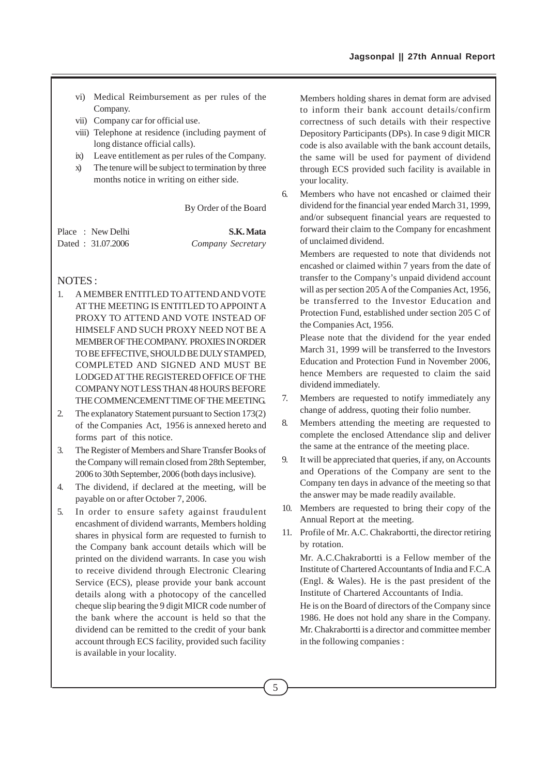- vi) Medical Reimbursement as per rules of the Company.
- vii) Company car for official use.
- viii) Telephone at residence (including payment of long distance official calls).
- ix) Leave entitlement as per rules of the Company.
- x) The tenure will be subject to termination by three months notice in writing on either side.

By Order of the Board

|  | Place : New Delhi | S.K. Mata         |
|--|-------------------|-------------------|
|  | Dated: 31.07.2006 | Company Secretary |

## NOTES :

- 1. A MEMBER ENTITLED TO ATTEND AND VOTE AT THE MEETING IS ENTITLED TO APPOINT A PROXY TO ATTEND AND VOTE INSTEAD OF HIMSELF AND SUCH PROXY NEED NOT BE A MEMBER OF THE COMPANY. PROXIES IN ORDER TO BE EFFECTIVE, SHOULD BE DULY STAMPED, COMPLETED AND SIGNED AND MUST BE LODGED AT THE REGISTERED OFFICE OF THE COMPANY NOT LESS THAN 48 HOURS BEFORE THE COMMENCEMENT TIME OF THE MEETING.
- 2. The explanatory Statement pursuant to Section 173(2) of the Companies Act, 1956 is annexed hereto and forms part of this notice.
- 3. The Register of Members and Share Transfer Books of the Company will remain closed from 28th September, 2006 to 30th September, 2006 (both days inclusive).
- 4. The dividend, if declared at the meeting, will be payable on or after October 7, 2006.
- 5. In order to ensure safety against fraudulent encashment of dividend warrants, Members holding shares in physical form are requested to furnish to the Company bank account details which will be printed on the dividend warrants. In case you wish to receive dividend through Electronic Clearing Service (ECS), please provide your bank account details along with a photocopy of the cancelled cheque slip bearing the 9 digit MICR code number of the bank where the account is held so that the dividend can be remitted to the credit of your bank account through ECS facility, provided such facility is available in your locality.

Members holding shares in demat form are advised to inform their bank account details/confirm correctness of such details with their respective Depository Participants (DPs). In case 9 digit MICR code is also available with the bank account details, the same will be used for payment of dividend through ECS provided such facility is available in your locality.

6. Members who have not encashed or claimed their dividend for the financial year ended March 31, 1999, and/or subsequent financial years are requested to forward their claim to the Company for encashment of unclaimed dividend.

Members are requested to note that dividends not encashed or claimed within 7 years from the date of transfer to the Company's unpaid dividend account will as per section 205 A of the Companies Act, 1956, be transferred to the Investor Education and Protection Fund, established under section 205 C of the Companies Act, 1956.

Please note that the dividend for the year ended March 31, 1999 will be transferred to the Investors Education and Protection Fund in November 2006, hence Members are requested to claim the said dividend immediately.

- 7. Members are requested to notify immediately any change of address, quoting their folio number.
- 8. Members attending the meeting are requested to complete the enclosed Attendance slip and deliver the same at the entrance of the meeting place.
- 9. It will be appreciated that queries, if any, on Accounts and Operations of the Company are sent to the Company ten days in advance of the meeting so that the answer may be made readily available.
- 10. Members are requested to bring their copy of the Annual Report at the meeting.
- 11. Profile of Mr. A.C. Chakrabortti, the director retiring by rotation.

Mr. A.C.Chakrabortti is a Fellow member of the Institute of Chartered Accountants of India and F.C.A (Engl. & Wales). He is the past president of the Institute of Chartered Accountants of India.

He is on the Board of directors of the Company since 1986. He does not hold any share in the Company. Mr. Chakrabortti is a director and committee member in the following companies :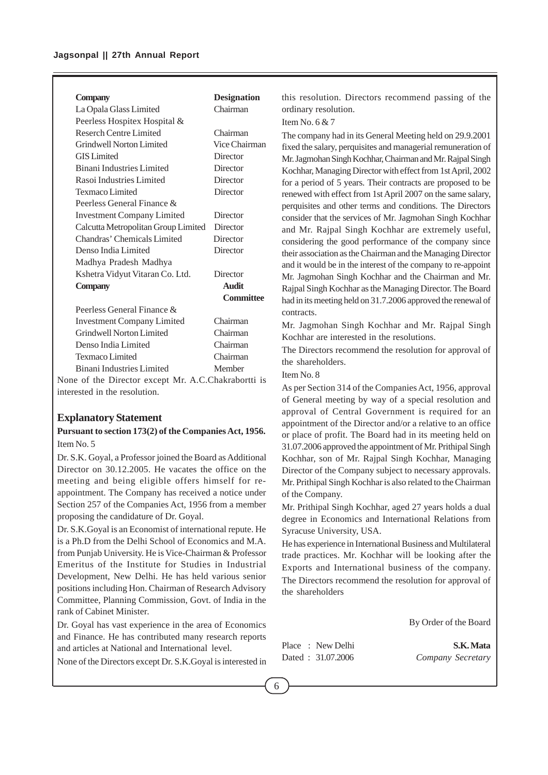#### **Company Designation**

| Chairman         |
|------------------|
|                  |
| Chairman         |
| Vice Chairman    |
| Director         |
| Director         |
| Director         |
| Director         |
|                  |
| Director         |
| Director         |
| Director         |
| Director         |
|                  |
| Director         |
| <b>Audit</b>     |
| <b>Committee</b> |
|                  |
| Chairman         |
| Chairman         |
| Chairman         |
| Chairman         |
|                  |

Binani Industries Limited Member None of the Director except Mr. A.C.Chakrabortti is interested in the resolution.

#### **Explanatory Statement**

## **Pursuant to section 173(2) of the Companies Act, 1956.** Item No. 5

Dr. S.K. Goyal, a Professor joined the Board as Additional Director on 30.12.2005. He vacates the office on the meeting and being eligible offers himself for reappointment. The Company has received a notice under Section 257 of the Companies Act, 1956 from a member proposing the candidature of Dr. Goyal.

Dr. S.K.Goyal is an Economist of international repute. He is a Ph.D from the Delhi School of Economics and M.A. from Punjab University. He is Vice-Chairman & Professor Emeritus of the Institute for Studies in Industrial Development, New Delhi. He has held various senior positions including Hon. Chairman of Research Advisory Committee, Planning Commission, Govt. of India in the rank of Cabinet Minister.

Dr. Goyal has vast experience in the area of Economics and Finance. He has contributed many research reports and articles at National and International level.

None of the Directors except Dr. S.K.Goyal is interested in

this resolution. Directors recommend passing of the ordinary resolution.

Item No. 6 & 7

The company had in its General Meeting held on 29.9.2001 fixed the salary, perquisites and managerial remuneration of Mr. Jagmohan Singh Kochhar, Chairman and Mr. Rajpal Singh Kochhar, Managing Director with effect from 1st April, 2002 for a period of 5 years. Their contracts are proposed to be renewed with effect from 1st April 2007 on the same salary, perquisites and other terms and conditions. The Directors consider that the services of Mr. Jagmohan Singh Kochhar and Mr. Rajpal Singh Kochhar are extremely useful, considering the good performance of the company since their association as the Chairman and the Managing Director and it would be in the interest of the company to re-appoint Mr. Jagmohan Singh Kochhar and the Chairman and Mr. Rajpal Singh Kochhar as the Managing Director. The Board had in its meeting held on 31.7.2006 approved the renewal of contracts.

Mr. Jagmohan Singh Kochhar and Mr. Rajpal Singh Kochhar are interested in the resolutions.

The Directors recommend the resolution for approval of the shareholders.

Item No. 8

As per Section 314 of the Companies Act, 1956, approval of General meeting by way of a special resolution and approval of Central Government is required for an appointment of the Director and/or a relative to an office or place of profit. The Board had in its meeting held on 31.07.2006 approved the appointment of Mr. Prithipal Singh Kochhar, son of Mr. Rajpal Singh Kochhar, Managing Director of the Company subject to necessary approvals. Mr. Prithipal Singh Kochhar is also related to the Chairman of the Company.

Mr. Prithipal Singh Kochhar, aged 27 years holds a dual degree in Economics and International Relations from Syracuse University, USA.

He has experience in International Business and Multilateral trade practices. Mr. Kochhar will be looking after the Exports and International business of the company. The Directors recommend the resolution for approval of the shareholders

By Order of the Board

Place : New Delhi **S.K. Mata** Dated : 31.07.2006 *Company Secretary*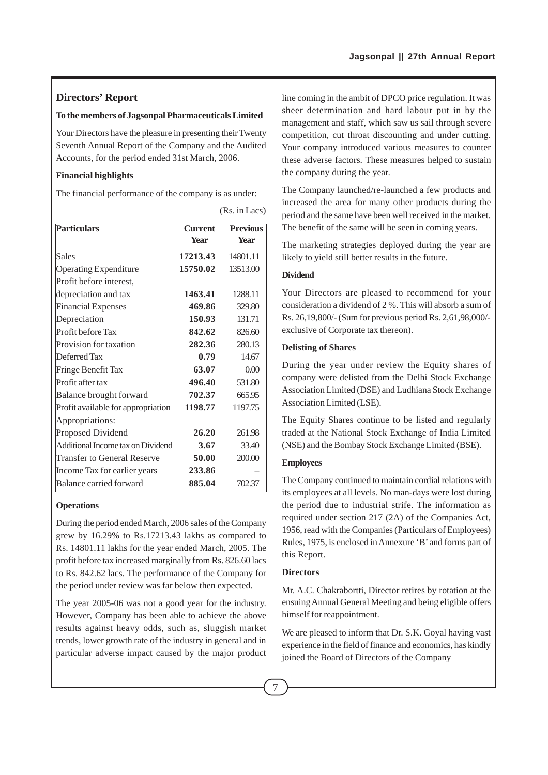## **Directors' Report**

#### **To the members of Jagsonpal Pharmaceuticals Limited**

Your Directors have the pleasure in presenting their Twenty Seventh Annual Report of the Company and the Audited Accounts, for the period ended 31st March, 2006.

## **Financial highlights**

The financial performance of the company is as under:

| <b>Particulars</b>                 | <b>Current</b> | <b>Previous</b> |
|------------------------------------|----------------|-----------------|
|                                    | <b>Year</b>    | <b>Year</b>     |
| <b>Sales</b>                       | 17213.43       | 14801.11        |
| <b>Operating Expenditure</b>       | 15750.02       | 13513.00        |
| Profit before interest,            |                |                 |
| depreciation and tax               | 1463.41        | 1288.11         |
| <b>Financial Expenses</b>          | 469.86         | 329.80          |
| Depreciation                       | 150.93         | 131.71          |
| Profit before Tax                  | 842.62         | 826.60          |
| Provision for taxation             | 282.36         | 280.13          |
| Deferred Tax                       | 0.79           | 14.67           |
| Fringe Benefit Tax                 | 63.07          | 0.00            |
| Profit after tax                   | 496.40         | 531.80          |
| Balance brought forward            | 702.37         | 665.95          |
| Profit available for appropriation | 1198.77        | 1197.75         |
| Appropriations:                    |                |                 |
| Proposed Dividend                  | 26.20          | 261.98          |
| Additional Income tax on Dividend  | 3.67           | 33.40           |
| Transfer to General Reserve        | 50.00          | 200.00          |
| Income Tax for earlier years       | 233.86         |                 |
| Balance carried forward            | 885.04         | 702.37          |

(Rs. in Lacs)

### **Operations**

During the period ended March, 2006 sales of the Company grew by 16.29% to Rs.17213.43 lakhs as compared to Rs. 14801.11 lakhs for the year ended March, 2005. The profit before tax increased marginally from Rs. 826.60 lacs to Rs. 842.62 lacs. The performance of the Company for the period under review was far below then expected.

The year 2005-06 was not a good year for the industry. However, Company has been able to achieve the above results against heavy odds, such as, sluggish market trends, lower growth rate of the industry in general and in particular adverse impact caused by the major product line coming in the ambit of DPCO price regulation. It was sheer determination and hard labour put in by the management and staff, which saw us sail through severe competition, cut throat discounting and under cutting. Your company introduced various measures to counter these adverse factors. These measures helped to sustain the company during the year.

The Company launched/re-launched a few products and increased the area for many other products during the period and the same have been well received in the market. The benefit of the same will be seen in coming years.

The marketing strategies deployed during the year are likely to yield still better results in the future.

#### **Dividend**

Your Directors are pleased to recommend for your consideration a dividend of 2 %. This will absorb a sum of Rs. 26,19,800/- (Sum for previous period Rs. 2,61,98,000/ exclusive of Corporate tax thereon).

#### **Delisting of Shares**

During the year under review the Equity shares of company were delisted from the Delhi Stock Exchange Association Limited (DSE) and Ludhiana Stock Exchange Association Limited (LSE).

The Equity Shares continue to be listed and regularly traded at the National Stock Exchange of India Limited (NSE) and the Bombay Stock Exchange Limited (BSE).

### **Employees**

The Company continued to maintain cordial relations with its employees at all levels. No man-days were lost during the period due to industrial strife. The information as required under section 217 (2A) of the Companies Act, 1956, read with the Companies (Particulars of Employees) Rules, 1975, is enclosed in Annexure 'B' and forms part of this Report.

### **Directors**

Mr. A.C. Chakrabortti, Director retires by rotation at the ensuing Annual General Meeting and being eligible offers himself for reappointment.

We are pleased to inform that Dr. S.K. Goyal having vast experience in the field of finance and economics, has kindly joined the Board of Directors of the Company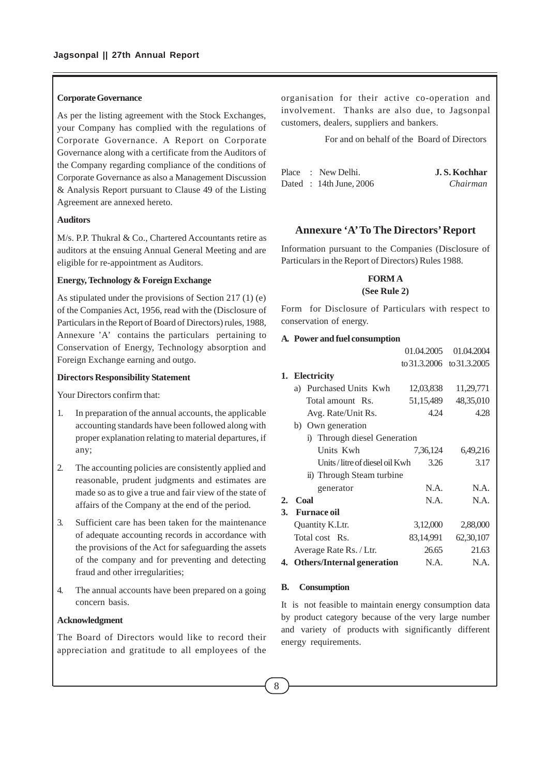#### **Corporate Governance**

As per the listing agreement with the Stock Exchanges, your Company has complied with the regulations of Corporate Governance. A Report on Corporate Governance along with a certificate from the Auditors of the Company regarding compliance of the conditions of Corporate Governance as also a Management Discussion & Analysis Report pursuant to Clause 49 of the Listing Agreement are annexed hereto.

### **Auditors**

M/s. P.P. Thukral & Co., Chartered Accountants retire as auditors at the ensuing Annual General Meeting and are eligible for re-appointment as Auditors.

### **Energy, Technology & Foreign Exchange**

As stipulated under the provisions of Section 217 (1) (e) of the Companies Act, 1956, read with the (Disclosure of Particulars in the Report of Board of Directors) rules, 1988, Annexure 'A' contains the particulars pertaining to Conservation of Energy, Technology absorption and Foreign Exchange earning and outgo.

#### **Directors Responsibility Statement**

Your Directors confirm that:

- 1. In preparation of the annual accounts, the applicable accounting standards have been followed along with proper explanation relating to material departures, if any;
- 2. The accounting policies are consistently applied and reasonable, prudent judgments and estimates are made so as to give a true and fair view of the state of affairs of the Company at the end of the period.
- 3. Sufficient care has been taken for the maintenance of adequate accounting records in accordance with the provisions of the Act for safeguarding the assets of the company and for preventing and detecting fraud and other irregularities;
- 4. The annual accounts have been prepared on a going concern basis.

### **Acknowledgment**

The Board of Directors would like to record their appreciation and gratitude to all employees of the organisation for their active co-operation and involvement. Thanks are also due, to Jagsonpal customers, dealers, suppliers and bankers.

For and on behalf of the Board of Directors

|  | Place : New Delhi.      | J.S. Kochhar |
|--|-------------------------|--------------|
|  | Dated : 14th June, 2006 | Chairman     |

## **Annexure 'A' To The Directors' Report**

Information pursuant to the Companies (Disclosure of Particulars in the Report of Directors) Rules 1988.

### **FORM A (See Rule 2)**

Form for Disclosure of Particulars with respect to conservation of energy.

#### **A. Power and fuel consumption**

|    |                               | 01.04.2005 | 01.04.2004                |
|----|-------------------------------|------------|---------------------------|
|    |                               |            | to 31.3.2006 to 31.3.2005 |
|    | 1. Electricity                |            |                           |
|    | a) Purchased Units Kwh        | 12,03,838  | 11,29,771                 |
|    | Total amount Rs.              | 51,15,489  | 48, 35, 010               |
|    | Avg. Rate/Unit Rs.            | 4.24       | 4.28                      |
|    | b) Own generation             |            |                           |
|    | i) Through diesel Generation  |            |                           |
|    | Units Kwh                     | 7,36,124   | 6,49,216                  |
|    | Units/litre of diesel oil Kwh | 3.26       | 3.17                      |
|    | ii) Through Steam turbine     |            |                           |
|    | generator                     | N.A.       | N.A.                      |
| 2. | Coal                          | N.A.       | N.A.                      |
| 3. | <b>Furnace oil</b>            |            |                           |
|    | Quantity K.Ltr.               | 3,12,000   | 2,88,000                  |
|    | Total cost Rs.                | 83,14,991  | 62, 30, 107               |
|    | Average Rate Rs. / Ltr.       | 26.65      | 21.63                     |
|    | 4. Others/Internal generation | N.A.       | N.A.                      |
|    |                               |            |                           |

#### **B. Consumption**

It is not feasible to maintain energy consumption data by product category because of the very large number and variety of products with significantly different energy requirements.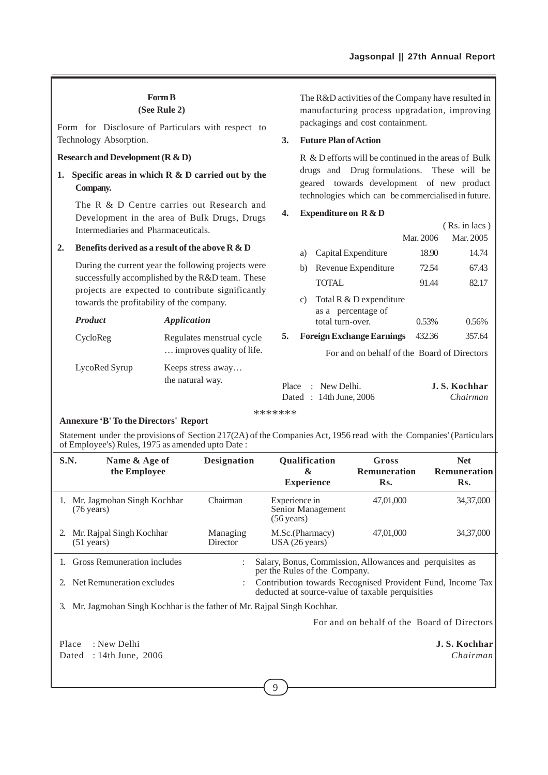## **Form B**

**(See Rule 2)**

Form for Disclosure of Particulars with respect to Technology Absorption.

### **Research and Development (R & D)**

**1. Specific areas in which R & D carried out by the Company.**

The R & D Centre carries out Research and Development in the area of Bulk Drugs, Drugs Intermediaries and Pharmaceuticals.

#### **2. Benefits derived as a result of the above R & D**

During the current year the following projects were successfully accomplished by the R&D team. These projects are expected to contribute significantly towards the profitability of the company.

| <b>Product</b> | Application                                            |
|----------------|--------------------------------------------------------|
| CycloReg       | Regulates menstrual cycle<br>improves quality of life. |
| LycoRed Syrup  | Keeps stress away<br>the natural way.                  |

The R&D activities of the Company have resulted in manufacturing process upgradation, improving packagings and cost containment.

#### **3. Future Plan of Action**

R & D efforts will be continued in the areas of Bulk drugs and Drug formulations. These will be geared towards development of new product technologies which can be commercialised in future.

### **4. Expenditure on R & D**

|    |    |                                                    |           | $(Rs. in lacs)$ |
|----|----|----------------------------------------------------|-----------|-----------------|
|    |    |                                                    | Mar. 2006 | Mar. 2005       |
|    | a) | Capital Expenditure                                | 18.90     | 14.74           |
|    | b) | Revenue Expenditure                                | 72.54     | 67.43           |
|    |    | <b>TOTAL</b>                                       | 91.44     | 82.17           |
|    |    | c) Total R $&$ D expenditure<br>as a percentage of |           |                 |
|    |    | total turn-over.                                   | 0.53%     | 0.56%           |
| 5. |    | <b>Foreign Exchange Earnings</b>                   | 432.36    | 357.64          |
|    |    | $1 \t1 \t1 \t1$                                    |           |                 |

For and on behalf of the Board of Directors

|  | Place : New Delhi.      | J.S. Kochhar |
|--|-------------------------|--------------|
|  | Dated : 14th June, 2006 | Chairman     |

\*\*\*\*\*\*\*

#### **Annexure 'B' To the Directors' Report**

Statement under the provisions of Section 217(2A) of the Companies Act, 1956 read with the Companies' (Particulars of Employee's) Rules, 1975 as amended upto Date :

| S.N.  | Name & Age of<br>the Employee                                         | <b>Designation</b>   | Qualification<br>&<br><b>Experience</b>                                                                        | Gross<br>Remuneration<br>Rs.                | <b>Net</b><br>Remuneration<br>Rs. |
|-------|-----------------------------------------------------------------------|----------------------|----------------------------------------------------------------------------------------------------------------|---------------------------------------------|-----------------------------------|
|       | 1. Mr. Jagmohan Singh Kochhar<br>$(76 \text{ years})$                 | Chairman             | Experience in<br>Senior Management<br>$(56 \text{ years})$                                                     | 47,01,000                                   | 34,37,000                         |
|       | 2. Mr. Rajpal Singh Kochhar<br>$(51 \text{ years})$                   | Managing<br>Director | M.Sc.(Pharmacy)<br>USA (26 years)                                                                              | 47,01,000                                   | 34,37,000                         |
|       | 1. Gross Remuneration includes                                        |                      | Salary, Bonus, Commission, Allowances and perquisites as<br>per the Rules of the Company.                      |                                             |                                   |
|       | 2. Net Remuneration excludes                                          |                      | Contribution towards Recognised Provident Fund, Income Tax<br>deducted at source-value of taxable perquisities |                                             |                                   |
| 3.    | Mr. Jagmohan Singh Kochhar is the father of Mr. Rajpal Singh Kochhar. |                      |                                                                                                                |                                             |                                   |
|       |                                                                       |                      |                                                                                                                | For and on behalf of the Board of Directors |                                   |
| Place | : New Delhi                                                           |                      |                                                                                                                |                                             | J.S. Kochhar                      |
| Dated | $: 14$ th June, 2006                                                  |                      |                                                                                                                |                                             | Chairman                          |

9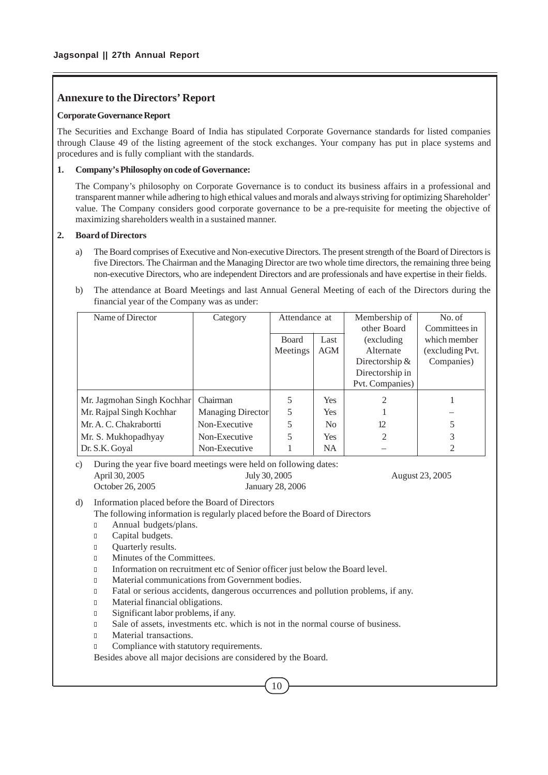## **Annexure to the Directors' Report**

#### **Corporate Governance Report**

The Securities and Exchange Board of India has stipulated Corporate Governance standards for listed companies through Clause 49 of the listing agreement of the stock exchanges. Your company has put in place systems and procedures and is fully compliant with the standards.

### **1. Company's Philosophy on code of Governance:**

The Company's philosophy on Corporate Governance is to conduct its business affairs in a professional and transparent manner while adhering to high ethical values and morals and always striving for optimizing Shareholder' value. The Company considers good corporate governance to be a pre-requisite for meeting the objective of maximizing shareholders wealth in a sustained manner.

## **2. Board of Directors**

- a) The Board comprises of Executive and Non-executive Directors. The present strength of the Board of Directors is five Directors. The Chairman and the Managing Director are two whole time directors, the remaining three being non-executive Directors, who are independent Directors and are professionals and have expertise in their fields.
- b) The attendance at Board Meetings and last Annual General Meeting of each of the Directors during the financial year of the Company was as under:

| Name of Director           | Category          | Attendance at |                | Membership of    | No. of          |
|----------------------------|-------------------|---------------|----------------|------------------|-----------------|
|                            |                   |               |                | other Board      | Committees in   |
|                            |                   | <b>Board</b>  | Last           | (excluding)      | which member    |
|                            |                   | Meetings      | AGM            | Alternate        | (excluding Pvt. |
|                            |                   |               |                | Directorship $&$ | Companies)      |
|                            |                   |               |                | Directorship in  |                 |
|                            |                   |               |                | Pvt. Companies)  |                 |
| Mr. Jagmohan Singh Kochhar | Chairman          | 5             | <b>Yes</b>     | 2                |                 |
| Mr. Rajpal Singh Kochhar   | Managing Director | 5             | <b>Yes</b>     |                  |                 |
| Mr. A. C. Chakrabortti     | Non-Executive     | 5             | N <sub>0</sub> | 12               |                 |
| Mr. S. Mukhopadhyay        | Non-Executive     | 5             | Yes.           | $\mathfrak{D}$   | 3               |
| Dr. S.K. Goyal             | Non-Executive     |               | NA.            |                  | 2               |

c) During the year five board meetings were held on following dates: April 30, 2005 July 30, 2005 July 30, 2005 August 23, 2005 October 26, 2005 January 28, 2006

d) Information placed before the Board of Directors

The following information is regularly placed before the Board of Directors

- <sup>l</sup> Annual budgets/plans.
- <sup>l</sup> Capital budgets.
- <sup>l</sup> Quarterly results.
- <sup>l</sup> Minutes of the Committees.
- Information on recruitment etc of Senior officer just below the Board level.
- <sup>l</sup> Material communications from Government bodies.
- <sup>l</sup> Fatal or serious accidents, dangerous occurrences and pollution problems, if any.
- <sup>l</sup> Material financial obligations.
- <sup>l</sup> Significant labor problems, if any.
- <sup>l</sup> Sale of assets, investments etc. which is not in the normal course of business.
- <sup>l</sup> Material transactions.
- **Compliance with statutory requirements.**

Besides above all major decisions are considered by the Board.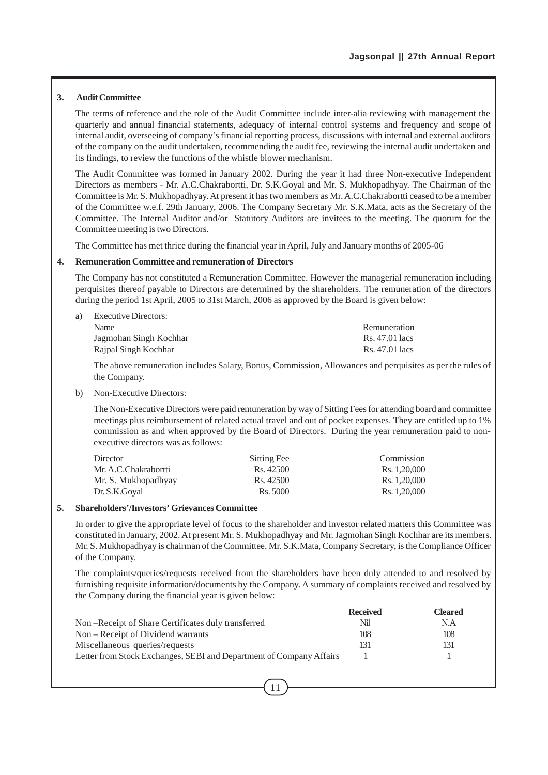#### **3. Audit Committee**

The terms of reference and the role of the Audit Committee include inter-alia reviewing with management the quarterly and annual financial statements, adequacy of internal control systems and frequency and scope of internal audit, overseeing of company's financial reporting process, discussions with internal and external auditors of the company on the audit undertaken, recommending the audit fee, reviewing the internal audit undertaken and its findings, to review the functions of the whistle blower mechanism.

The Audit Committee was formed in January 2002. During the year it had three Non-executive Independent Directors as members - Mr. A.C.Chakrabortti, Dr. S.K.Goyal and Mr. S. Mukhopadhyay. The Chairman of the Committee is Mr. S. Mukhopadhyay. At present it has two members as Mr. A.C.Chakrabortti ceased to be a member of the Committee w.e.f. 29th January, 2006. The Company Secretary Mr. S.K.Mata, acts as the Secretary of the Committee. The Internal Auditor and/or Statutory Auditors are invitees to the meeting. The quorum for the Committee meeting is two Directors.

The Committee has met thrice during the financial year in April, July and January months of 2005-06

#### **4. Remuneration Committee and remuneration of Directors**

The Company has not constituted a Remuneration Committee. However the managerial remuneration including perquisites thereof payable to Directors are determined by the shareholders. The remuneration of the directors during the period 1st April, 2005 to 31st March, 2006 as approved by the Board is given below:

| Remuneration   |
|----------------|
| Rs. 47.01 lacs |
| Rs. 47.01 lacs |
|                |

The above remuneration includes Salary, Bonus, Commission, Allowances and perquisites as per the rules of the Company.

b) Non-Executive Directors:

The Non-Executive Directors were paid remuneration by way of Sitting Fees for attending board and committee meetings plus reimbursement of related actual travel and out of pocket expenses. They are entitled up to 1% commission as and when approved by the Board of Directors. During the year remuneration paid to nonexecutive directors was as follows:

| Director             | Sitting Fee | Commission   |
|----------------------|-------------|--------------|
| Mr. A.C.Chakrabortti | Rs. 42500   | Rs. 1.20.000 |
| Mr. S. Mukhopadhyay  | Rs. 42500   | Rs. 1.20.000 |
| Dr. S.K.Goval        | Rs. 5000    | Rs. 1.20.000 |

### **5. Shareholders'/Investors' Grievances Committee**

In order to give the appropriate level of focus to the shareholder and investor related matters this Committee was constituted in January, 2002. At present Mr. S. Mukhopadhyay and Mr. Jagmohan Singh Kochhar are its members. Mr. S. Mukhopadhyay is chairman of the Committee. Mr. S.K.Mata, Company Secretary, is the Compliance Officer of the Company.

The complaints/queries/requests received from the shareholders have been duly attended to and resolved by furnishing requisite information/documents by the Company. A summary of complaints received and resolved by the Company during the financial year is given below:

|                                                                     | <b>Received</b> | Cleared |
|---------------------------------------------------------------------|-----------------|---------|
| Non-Receipt of Share Certificates duly transferred                  | Nil             | N.A     |
| Non – Receipt of Dividend warrants                                  | 108             | 108     |
| Miscellaneous queries/requests                                      | 131             | 131     |
| Letter from Stock Exchanges, SEBI and Department of Company Affairs |                 |         |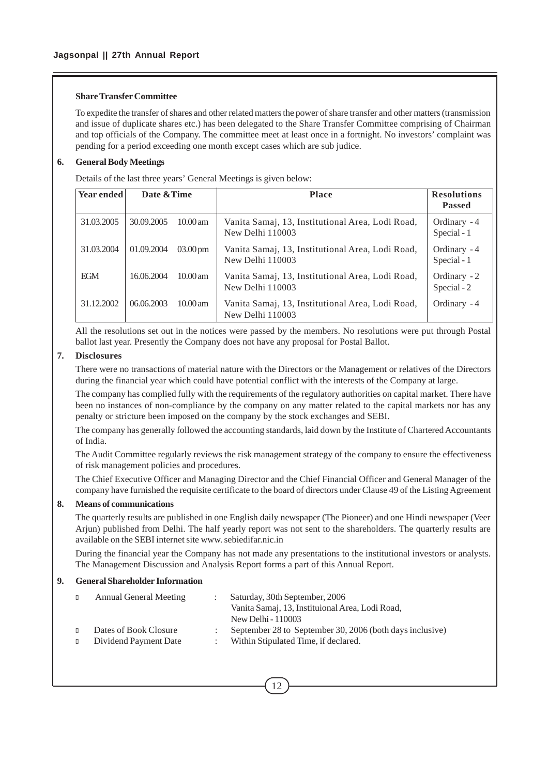### **Share Transfer Committee**

To expedite the transfer of shares and other related matters the power of share transfer and other matters (transmission and issue of duplicate shares etc.) has been delegated to the Share Transfer Committee comprising of Chairman and top officials of the Company. The committee meet at least once in a fortnight. No investors' complaint was pending for a period exceeding one month except cases which are sub judice.

### **6. General Body Meetings**

Details of the last three years' General Meetings is given below:

| Year ended | Date & Time |                       | <b>Place</b>                                                         | <b>Resolutions</b><br><b>Passed</b> |
|------------|-------------|-----------------------|----------------------------------------------------------------------|-------------------------------------|
| 31.03.2005 | 30.09.2005  | $10.00$ am            | Vanita Samaj, 13, Institutional Area, Lodi Road,<br>New Delhi 110003 | Ordinary - 4<br>Special - 1         |
| 31.03.2004 | 01.09.2004  | $03.00 \,\mathrm{pm}$ | Vanita Samaj, 13, Institutional Area, Lodi Road,<br>New Delhi 110003 | Ordinary - 4<br>Special - 1         |
| EGM        | 16.06.2004  | $10.00 \text{ am}$    | Vanita Samaj, 13, Institutional Area, Lodi Road,<br>New Delhi 110003 | Ordinary - 2<br>Special - 2         |
| 31.12.2002 | 06.06.2003  | $10.00$ am            | Vanita Samaj, 13, Institutional Area, Lodi Road,<br>New Delhi 110003 | Ordinary - 4                        |

All the resolutions set out in the notices were passed by the members. No resolutions were put through Postal ballot last year. Presently the Company does not have any proposal for Postal Ballot.

### **7. Disclosures**

There were no transactions of material nature with the Directors or the Management or relatives of the Directors during the financial year which could have potential conflict with the interests of the Company at large.

The company has complied fully with the requirements of the regulatory authorities on capital market. There have been no instances of non-compliance by the company on any matter related to the capital markets nor has any penalty or stricture been imposed on the company by the stock exchanges and SEBI.

The company has generally followed the accounting standards, laid down by the Institute of Chartered Accountants of India.

The Audit Committee regularly reviews the risk management strategy of the company to ensure the effectiveness of risk management policies and procedures.

The Chief Executive Officer and Managing Director and the Chief Financial Officer and General Manager of the company have furnished the requisite certificate to the board of directors under Clause 49 of the Listing Agreement

### **8. Means of communications**

The quarterly results are published in one English daily newspaper (The Pioneer) and one Hindi newspaper (Veer Arjun) published from Delhi. The half yearly report was not sent to the shareholders. The quarterly results are available on the SEBI internet site www. sebiedifar.nic.in

During the financial year the Company has not made any presentations to the institutional investors or analysts. The Management Discussion and Analysis Report forms a part of this Annual Report.

## **9. General Shareholder Information**

| $\Box$ | <b>Annual General Meeting</b> | Saturday, 30th September, 2006<br>Vanita Samaj, 13, Instituional Area, Lodi Road, |
|--------|-------------------------------|-----------------------------------------------------------------------------------|
|        |                               | New Delhi - 110003                                                                |
| $\Box$ | Dates of Book Closure         | September 28 to September 30, 2006 (both days inclusive)                          |
| $\Box$ | Dividend Payment Date         | Within Stipulated Time, if declared.                                              |
|        |                               |                                                                                   |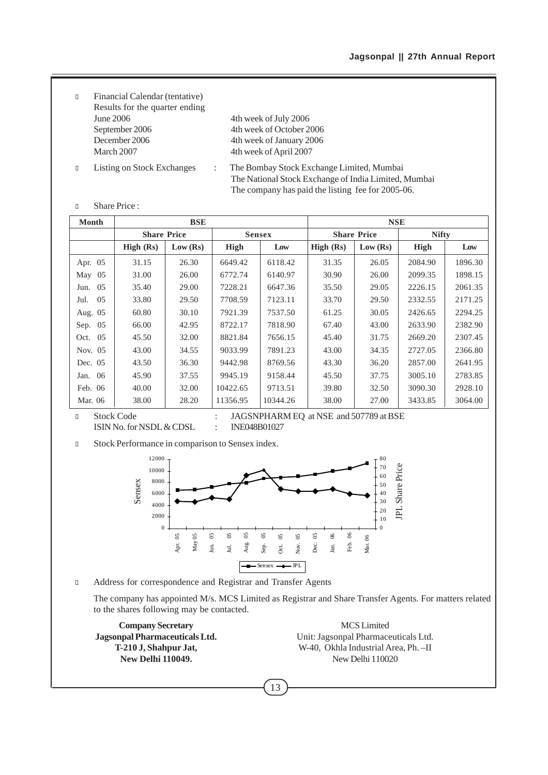- <sup>l</sup> Financial Calendar (tentative) Results for the quarter ending June 2006 4th week of July 2006 September 2006 4th week of October 2006 December 2006 4th week of January 2006<br>March 2007 4th week of April 2007
	- 4th week of April 2007
- 
- <sup>l</sup> Listing on Stock Exchanges : The Bombay Stock Exchange Limited, Mumbai The National Stock Exchange of India Limited, Mumbai The company has paid the listing fee for 2005-06.
- <sup>l</sup> Share Price :

| <b>Month</b> | <b>BSE</b>         |          |               |          |           | <b>NSE</b>         |              |         |
|--------------|--------------------|----------|---------------|----------|-----------|--------------------|--------------|---------|
|              | <b>Share Price</b> |          | <b>Sensex</b> |          |           | <b>Share Price</b> | <b>Nifty</b> |         |
|              | High (Rs)          | Low (Rs) | High          | Low      | High (Rs) | Low (Rs)           | High         | Low     |
| Apr. 05      | 31.15              | 26.30    | 6649.42       | 6118.42  | 31.35     | 26.05              | 2084.90      | 1896.30 |
| 05<br>May    | 31.00              | 26.00    | 6772.74       | 6140.97  | 30.90     | 26.00              | 2099.35      | 1898.15 |
| 05<br>Jun.   | 35.40              | 29.00    | 7228.21       | 6647.36  | 35.50     | 29.05              | 2226.15      | 2061.35 |
| 05<br>Jul.   | 33.80              | 29.50    | 7708.59       | 7123.11  | 33.70     | 29.50              | 2332.55      | 2171.25 |
| Aug. 05      | 60.80              | 30.10    | 7921.39       | 7537.50  | 61.25     | 30.05              | 2426.65      | 2294.25 |
| 05<br>Sep.   | 66.00              | 42.95    | 8722.17       | 7818.90  | 67.40     | 43.00              | 2633.90      | 2382.90 |
| 0.5<br>Oct.  | 45.50              | 32.00    | 8821.84       | 7656.15  | 45.40     | 31.75              | 2669.20      | 2307.45 |
| Nov. 05      | 43.00              | 34.55    | 9033.99       | 7891.23  | 43.00     | 34.35              | 2727.05      | 2366.80 |
| Dec. 05      | 43.50              | 36.30    | 9442.98       | 8769.56  | 43.30     | 36.20              | 2857.00      | 2641.95 |
| -06<br>Jan.  | 45.90              | 37.55    | 9945.19       | 9158.44  | 45.50     | 37.75              | 3005.10      | 2783.85 |
| Feb. 06      | 40.00              | 32.00    | 10422.65      | 9713.51  | 39.80     | 32.50              | 3090.30      | 2928.10 |
| Mar. 06      | 38.00              | 28.20    | 11356.95      | 10344.26 | 38.00     | 27.00              | 3433.85      | 3064.00 |

<sup>l</sup> Stock Code : JAGSNPHARM EQ at NSE and 507789 at BSE

ISIN No. for NSDL & CDSL : INE048B01027

**ISLOCK Performance in comparison to Sensex index.** 



<sup>l</sup> Address for correspondence and Registrar and Transfer Agents

The company has appointed M/s. MCS Limited as Registrar and Share Transfer Agents. For matters related to the shares following may be contacted.

13

**Company Secretary** MCS Limited

**Jagsonpal Pharmaceuticals Ltd.** Unit: Jagsonpal Pharmaceuticals Ltd. **T-210 J, Shahpur Jat,** W-40, Okhla Industrial Area, Ph. –II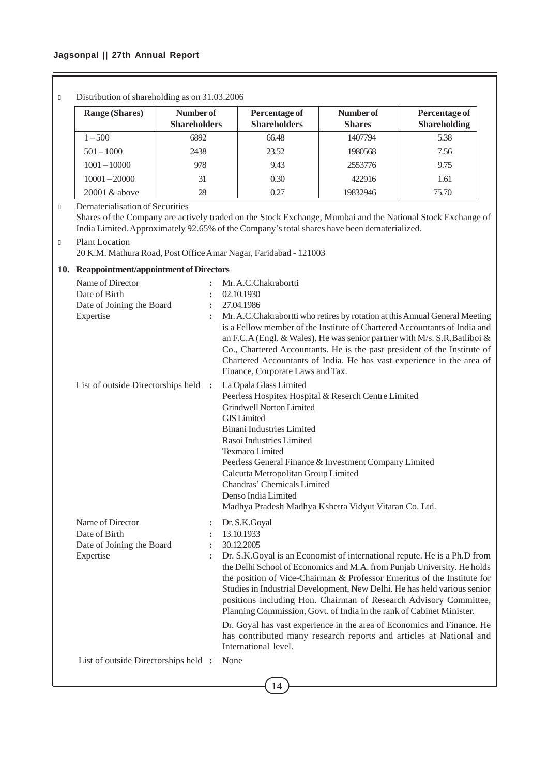## **Jagsonpal || 27th Annual Report**

ſ

| Number of<br><b>Range (Shares)</b><br>Percentage of<br>Number of<br><b>Percentage of</b><br><b>Shareholders</b><br><b>Shareholders</b><br><b>Shareholding</b><br><b>Shares</b><br>$1 - 500$<br>6892<br>66.48<br>1407794<br>5.38<br>$501 - 1000$<br>2438<br>23.52<br>1980568<br>7.56<br>$1001 - 10000$<br>978<br>9.43<br>9.75<br>2553776<br>$10001 - 20000$<br>31<br>0.30<br>422916<br>1.61<br>0.27<br>20001 & above<br>28<br>19832946<br>75.70<br>Dematerialisation of Securities<br>Shares of the Company are actively traded on the Stock Exchange, Mumbai and the National Stock Exchange of<br>India Limited. Approximately 92.65% of the Company's total shares have been dematerialized.<br><b>Plant Location</b><br>20 K.M. Mathura Road, Post Office Amar Nagar, Faridabad - 121003<br>10. Reappointment/appointment of Directors<br>Name of Director<br>Mr. A.C.Chakrabortti<br>Date of Birth<br>02.10.1930<br>Date of Joining the Board<br>27.04.1986<br>$\ddot{\cdot}$<br>Expertise<br>Mr. A.C.Chakrabortti who retires by rotation at this Annual General Meeting<br>$\ddot{\phantom{a}}$<br>is a Fellow member of the Institute of Chartered Accountants of India and<br>an F.C.A (Engl. & Wales). He was senior partner with M/s. S.R.Batliboi &<br>Co., Chartered Accountants. He is the past president of the Institute of<br>Chartered Accountants of India. He has vast experience in the area of<br>Finance, Corporate Laws and Tax.<br>La Opala Glass Limited<br>List of outside Directorships held :<br>Peerless Hospitex Hospital & Reserch Centre Limited<br><b>Grindwell Norton Limited</b><br><b>GIS</b> Limited<br><b>Binani Industries Limited</b><br>Rasoi Industries Limited<br>Texmaco Limited<br>Peerless General Finance & Investment Company Limited<br>Calcutta Metropolitan Group Limited<br>Chandras' Chemicals Limited<br>Denso India Limited<br>Madhya Pradesh Madhya Kshetra Vidyut Vitaran Co. Ltd.<br>Name of Director<br>Dr. S.K.Goyal<br>Date of Birth<br>13.10.1933<br>Date of Joining the Board<br>30.12.2005<br>$\ddot{\cdot}$<br>Expertise<br>Dr. S.K.Goyal is an Economist of international repute. He is a Ph.D from<br>:<br>the Delhi School of Economics and M.A. from Punjab University. He holds<br>the position of Vice-Chairman & Professor Emeritus of the Institute for<br>Studies in Industrial Development, New Delhi. He has held various senior<br>positions including Hon. Chairman of Research Advisory Committee,<br>Planning Commission, Govt. of India in the rank of Cabinet Minister.<br>Dr. Goyal has vast experience in the area of Economics and Finance. He<br>has contributed many research reports and articles at National and<br>International level.<br>List of outside Directorships held :<br>None | Distribution of shareholding as on 31.03.2006 |  |  |  |
|-----------------------------------------------------------------------------------------------------------------------------------------------------------------------------------------------------------------------------------------------------------------------------------------------------------------------------------------------------------------------------------------------------------------------------------------------------------------------------------------------------------------------------------------------------------------------------------------------------------------------------------------------------------------------------------------------------------------------------------------------------------------------------------------------------------------------------------------------------------------------------------------------------------------------------------------------------------------------------------------------------------------------------------------------------------------------------------------------------------------------------------------------------------------------------------------------------------------------------------------------------------------------------------------------------------------------------------------------------------------------------------------------------------------------------------------------------------------------------------------------------------------------------------------------------------------------------------------------------------------------------------------------------------------------------------------------------------------------------------------------------------------------------------------------------------------------------------------------------------------------------------------------------------------------------------------------------------------------------------------------------------------------------------------------------------------------------------------------------------------------------------------------------------------------------------------------------------------------------------------------------------------------------------------------------------------------------------------------------------------------------------------------------------------------------------------------------------------------------------------------------------------------------------------------------------------------------------------------------------------------------------------------------------------------------------------------------------------------------------------------------------------------------------|-----------------------------------------------|--|--|--|
|                                                                                                                                                                                                                                                                                                                                                                                                                                                                                                                                                                                                                                                                                                                                                                                                                                                                                                                                                                                                                                                                                                                                                                                                                                                                                                                                                                                                                                                                                                                                                                                                                                                                                                                                                                                                                                                                                                                                                                                                                                                                                                                                                                                                                                                                                                                                                                                                                                                                                                                                                                                                                                                                                                                                                                                   |                                               |  |  |  |
|                                                                                                                                                                                                                                                                                                                                                                                                                                                                                                                                                                                                                                                                                                                                                                                                                                                                                                                                                                                                                                                                                                                                                                                                                                                                                                                                                                                                                                                                                                                                                                                                                                                                                                                                                                                                                                                                                                                                                                                                                                                                                                                                                                                                                                                                                                                                                                                                                                                                                                                                                                                                                                                                                                                                                                                   |                                               |  |  |  |
|                                                                                                                                                                                                                                                                                                                                                                                                                                                                                                                                                                                                                                                                                                                                                                                                                                                                                                                                                                                                                                                                                                                                                                                                                                                                                                                                                                                                                                                                                                                                                                                                                                                                                                                                                                                                                                                                                                                                                                                                                                                                                                                                                                                                                                                                                                                                                                                                                                                                                                                                                                                                                                                                                                                                                                                   |                                               |  |  |  |
|                                                                                                                                                                                                                                                                                                                                                                                                                                                                                                                                                                                                                                                                                                                                                                                                                                                                                                                                                                                                                                                                                                                                                                                                                                                                                                                                                                                                                                                                                                                                                                                                                                                                                                                                                                                                                                                                                                                                                                                                                                                                                                                                                                                                                                                                                                                                                                                                                                                                                                                                                                                                                                                                                                                                                                                   |                                               |  |  |  |
|                                                                                                                                                                                                                                                                                                                                                                                                                                                                                                                                                                                                                                                                                                                                                                                                                                                                                                                                                                                                                                                                                                                                                                                                                                                                                                                                                                                                                                                                                                                                                                                                                                                                                                                                                                                                                                                                                                                                                                                                                                                                                                                                                                                                                                                                                                                                                                                                                                                                                                                                                                                                                                                                                                                                                                                   |                                               |  |  |  |
|                                                                                                                                                                                                                                                                                                                                                                                                                                                                                                                                                                                                                                                                                                                                                                                                                                                                                                                                                                                                                                                                                                                                                                                                                                                                                                                                                                                                                                                                                                                                                                                                                                                                                                                                                                                                                                                                                                                                                                                                                                                                                                                                                                                                                                                                                                                                                                                                                                                                                                                                                                                                                                                                                                                                                                                   |                                               |  |  |  |
|                                                                                                                                                                                                                                                                                                                                                                                                                                                                                                                                                                                                                                                                                                                                                                                                                                                                                                                                                                                                                                                                                                                                                                                                                                                                                                                                                                                                                                                                                                                                                                                                                                                                                                                                                                                                                                                                                                                                                                                                                                                                                                                                                                                                                                                                                                                                                                                                                                                                                                                                                                                                                                                                                                                                                                                   |                                               |  |  |  |
|                                                                                                                                                                                                                                                                                                                                                                                                                                                                                                                                                                                                                                                                                                                                                                                                                                                                                                                                                                                                                                                                                                                                                                                                                                                                                                                                                                                                                                                                                                                                                                                                                                                                                                                                                                                                                                                                                                                                                                                                                                                                                                                                                                                                                                                                                                                                                                                                                                                                                                                                                                                                                                                                                                                                                                                   |                                               |  |  |  |
|                                                                                                                                                                                                                                                                                                                                                                                                                                                                                                                                                                                                                                                                                                                                                                                                                                                                                                                                                                                                                                                                                                                                                                                                                                                                                                                                                                                                                                                                                                                                                                                                                                                                                                                                                                                                                                                                                                                                                                                                                                                                                                                                                                                                                                                                                                                                                                                                                                                                                                                                                                                                                                                                                                                                                                                   |                                               |  |  |  |
|                                                                                                                                                                                                                                                                                                                                                                                                                                                                                                                                                                                                                                                                                                                                                                                                                                                                                                                                                                                                                                                                                                                                                                                                                                                                                                                                                                                                                                                                                                                                                                                                                                                                                                                                                                                                                                                                                                                                                                                                                                                                                                                                                                                                                                                                                                                                                                                                                                                                                                                                                                                                                                                                                                                                                                                   |                                               |  |  |  |
|                                                                                                                                                                                                                                                                                                                                                                                                                                                                                                                                                                                                                                                                                                                                                                                                                                                                                                                                                                                                                                                                                                                                                                                                                                                                                                                                                                                                                                                                                                                                                                                                                                                                                                                                                                                                                                                                                                                                                                                                                                                                                                                                                                                                                                                                                                                                                                                                                                                                                                                                                                                                                                                                                                                                                                                   |                                               |  |  |  |
|                                                                                                                                                                                                                                                                                                                                                                                                                                                                                                                                                                                                                                                                                                                                                                                                                                                                                                                                                                                                                                                                                                                                                                                                                                                                                                                                                                                                                                                                                                                                                                                                                                                                                                                                                                                                                                                                                                                                                                                                                                                                                                                                                                                                                                                                                                                                                                                                                                                                                                                                                                                                                                                                                                                                                                                   |                                               |  |  |  |
|                                                                                                                                                                                                                                                                                                                                                                                                                                                                                                                                                                                                                                                                                                                                                                                                                                                                                                                                                                                                                                                                                                                                                                                                                                                                                                                                                                                                                                                                                                                                                                                                                                                                                                                                                                                                                                                                                                                                                                                                                                                                                                                                                                                                                                                                                                                                                                                                                                                                                                                                                                                                                                                                                                                                                                                   |                                               |  |  |  |
|                                                                                                                                                                                                                                                                                                                                                                                                                                                                                                                                                                                                                                                                                                                                                                                                                                                                                                                                                                                                                                                                                                                                                                                                                                                                                                                                                                                                                                                                                                                                                                                                                                                                                                                                                                                                                                                                                                                                                                                                                                                                                                                                                                                                                                                                                                                                                                                                                                                                                                                                                                                                                                                                                                                                                                                   |                                               |  |  |  |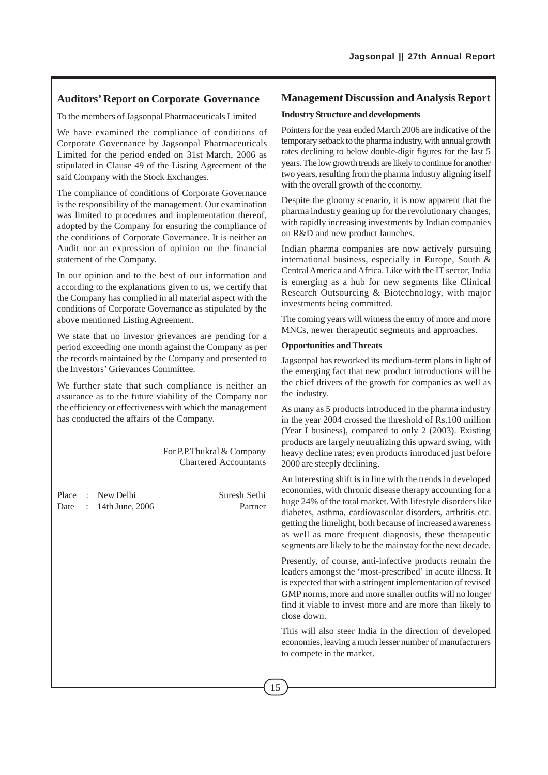## **Auditors' Report on Corporate Governance**

To the members of Jagsonpal Pharmaceuticals Limited

We have examined the compliance of conditions of Corporate Governance by Jagsonpal Pharmaceuticals Limited for the period ended on 31st March, 2006 as stipulated in Clause 49 of the Listing Agreement of the said Company with the Stock Exchanges.

The compliance of conditions of Corporate Governance is the responsibility of the management. Our examination was limited to procedures and implementation thereof, adopted by the Company for ensuring the compliance of the conditions of Corporate Governance. It is neither an Audit nor an expression of opinion on the financial statement of the Company.

In our opinion and to the best of our information and according to the explanations given to us, we certify that the Company has complied in all material aspect with the conditions of Corporate Governance as stipulated by the above mentioned Listing Agreement.

We state that no investor grievances are pending for a period exceeding one month against the Company as per the records maintained by the Company and presented to the Investors' Grievances Committee.

We further state that such compliance is neither an assurance as to the future viability of the Company nor the efficiency or effectiveness with which the management has conducted the affairs of the Company.

> For P.P.Thukral & Company Chartered Accountants

Place : New Delhi Suresh Sethi Date : 14th June, 2006 Partner

## **Management Discussion and Analysis Report**

#### **Industry Structure and developments**

Pointers for the year ended March 2006 are indicative of the temporary setback to the pharma industry, with annual growth rates declining to below double-digit figures for the last 5 years. The low growth trends are likely to continue for another two years, resulting from the pharma industry aligning itself with the overall growth of the economy.

Despite the gloomy scenario, it is now apparent that the pharma industry gearing up for the revolutionary changes, with rapidly increasing investments by Indian companies on R&D and new product launches.

Indian pharma companies are now actively pursuing international business, especially in Europe, South & Central America and Africa. Like with the IT sector, India is emerging as a hub for new segments like Clinical Research Outsourcing & Biotechnology, with major investments being committed.

The coming years will witness the entry of more and more MNCs, newer therapeutic segments and approaches.

#### **Opportunities and Threats**

Jagsonpal has reworked its medium-term plans in light of the emerging fact that new product introductions will be the chief drivers of the growth for companies as well as the industry.

As many as 5 products introduced in the pharma industry in the year 2004 crossed the threshold of Rs.100 million (Year I business), compared to only 2 (2003). Existing products are largely neutralizing this upward swing, with heavy decline rates; even products introduced just before 2000 are steeply declining.

An interesting shift is in line with the trends in developed economies, with chronic disease therapy accounting for a huge 24% of the total market. With lifestyle disorders like diabetes, asthma, cardiovascular disorders, arthritis etc. getting the limelight, both because of increased awareness as well as more frequent diagnosis, these therapeutic segments are likely to be the mainstay for the next decade.

Presently, of course, anti-infective products remain the leaders amongst the 'most-prescribed' in acute illness. It is expected that with a stringent implementation of revised GMP norms, more and more smaller outfits will no longer find it viable to invest more and are more than likely to close down.

This will also steer India in the direction of developed economies, leaving a much lesser number of manufacturers to compete in the market.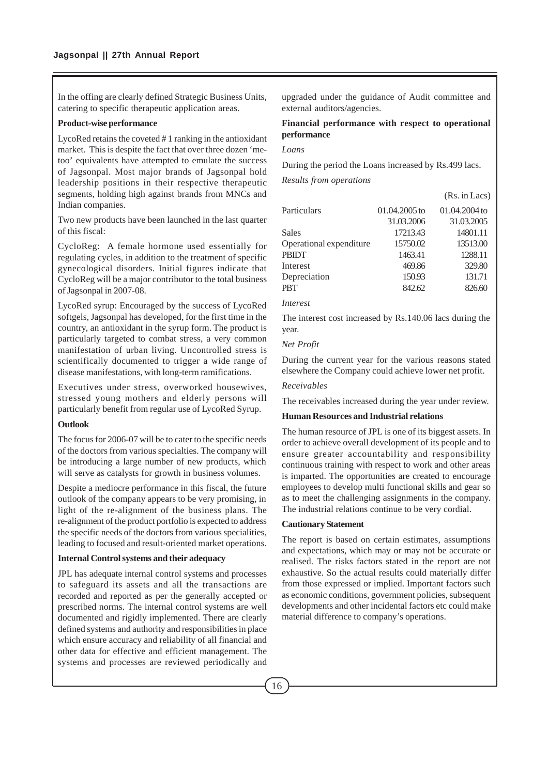In the offing are clearly defined Strategic Business Units, catering to specific therapeutic application areas.

#### **Product-wise performance**

LycoRed retains the coveted # 1 ranking in the antioxidant market. This is despite the fact that over three dozen 'metoo' equivalents have attempted to emulate the success of Jagsonpal. Most major brands of Jagsonpal hold leadership positions in their respective therapeutic segments, holding high against brands from MNCs and Indian companies.

Two new products have been launched in the last quarter of this fiscal:

CycloReg: A female hormone used essentially for regulating cycles, in addition to the treatment of specific gynecological disorders. Initial figures indicate that CycloReg will be a major contributor to the total business of Jagsonpal in 2007-08.

LycoRed syrup: Encouraged by the success of LycoRed softgels, Jagsonpal has developed, for the first time in the country, an antioxidant in the syrup form. The product is particularly targeted to combat stress, a very common manifestation of urban living. Uncontrolled stress is scientifically documented to trigger a wide range of disease manifestations, with long-term ramifications.

Executives under stress, overworked housewives, stressed young mothers and elderly persons will particularly benefit from regular use of LycoRed Syrup.

#### **Outlook**

The focus for 2006-07 will be to cater to the specific needs of the doctors from various specialties. The company will be introducing a large number of new products, which will serve as catalysts for growth in business volumes.

Despite a mediocre performance in this fiscal, the future outlook of the company appears to be very promising, in light of the re-alignment of the business plans. The re-alignment of the product portfolio is expected to address the specific needs of the doctors from various specialities, leading to focused and result-oriented market operations.

### **Internal Control systems and their adequacy**

JPL has adequate internal control systems and processes to safeguard its assets and all the transactions are recorded and reported as per the generally accepted or prescribed norms. The internal control systems are well documented and rigidly implemented. There are clearly defined systems and authority and responsibilities in place which ensure accuracy and reliability of all financial and other data for effective and efficient management. The systems and processes are reviewed periodically and upgraded under the guidance of Audit committee and external auditors/agencies.

## **Financial performance with respect to operational performance**

#### *Loans*

During the period the Loans increased by Rs.499 lacs.

*Results from operations*

|                         |               | (Rs. in Lacs) |
|-------------------------|---------------|---------------|
| Particulars             | 01.04.2005 to | 01.04.2004 to |
|                         | 31.03.2006    | 31.03.2005    |
| <b>Sales</b>            | 17213.43      | 14801.11      |
| Operational expenditure | 15750.02      | 13513.00      |
| <b>PBIDT</b>            | 1463.41       | 1288.11       |
| Interest                | 469.86        | 329.80        |
| Depreciation            | 150.93        | 131.71        |
| <b>PBT</b>              | 842.62        | 826.60        |
|                         |               |               |

*Interest*

The interest cost increased by Rs.140.06 lacs during the year.

#### *Net Profit*

During the current year for the various reasons stated elsewhere the Company could achieve lower net profit.

### *Receivables*

The receivables increased during the year under review.

#### **Human Resources and Industrial relations**

The human resource of JPL is one of its biggest assets. In order to achieve overall development of its people and to ensure greater accountability and responsibility continuous training with respect to work and other areas is imparted. The opportunities are created to encourage employees to develop multi functional skills and gear so as to meet the challenging assignments in the company. The industrial relations continue to be very cordial.

#### **Cautionary Statement**

The report is based on certain estimates, assumptions and expectations, which may or may not be accurate or realised. The risks factors stated in the report are not exhaustive. So the actual results could materially differ from those expressed or implied. Important factors such as economic conditions, government policies, subsequent developments and other incidental factors etc could make material difference to company's operations.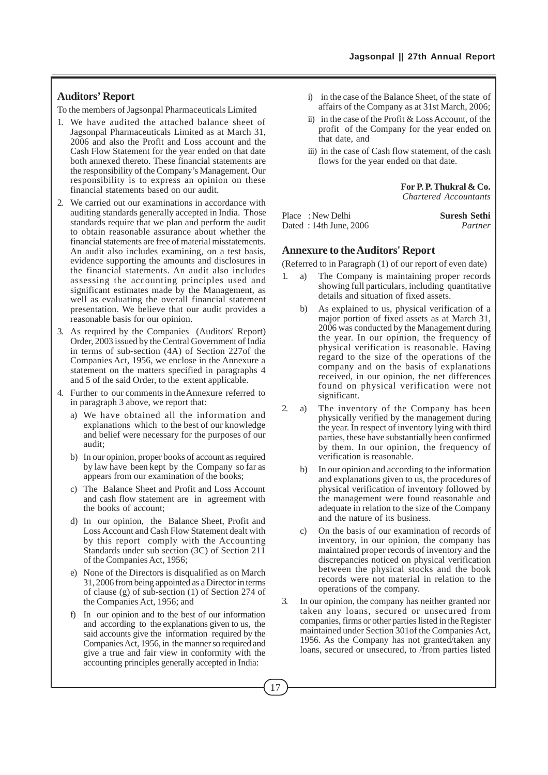## **Auditors' Report**

To the members of Jagsonpal Pharmaceuticals Limited

- 1. We have audited the attached balance sheet of Jagsonpal Pharmaceuticals Limited as at March 31, 2006 and also the Profit and Loss account and the Cash Flow Statement for the year ended on that date both annexed thereto. These financial statements are the responsibility of the Company's Management. Our responsibility is to express an opinion on these financial statements based on our audit.
- 2. We carried out our examinations in accordance with auditing standards generally accepted in India. Those standards require that we plan and perform the audit to obtain reasonable assurance about whether the financial statements are free of material misstatements. An audit also includes examining, on a test basis, evidence supporting the amounts and disclosures in the financial statements. An audit also includes assessing the accounting principles used and significant estimates made by the Management, as well as evaluating the overall financial statement presentation. We believe that our audit provides a reasonable basis for our opinion.
- 3. As required by the Companies (Auditors' Report) Order, 2003 issued by the Central Government of India in terms of sub-section (4A) of Section 227of the Companies Act, 1956, we enclose in the Annexure a statement on the matters specified in paragraphs 4 and 5 of the said Order, to the extent applicable.
- 4. Further to our comments in the Annexure referred to in paragraph 3 above, we report that:
	- a) We have obtained all the information and explanations which to the best of our knowledge and belief were necessary for the purposes of our audit;
	- b) In our opinion, proper books of account as required by law have been kept by the Company so far as appears from our examination of the books;
	- c) The Balance Sheet and Profit and Loss Account and cash flow statement are in agreement with the books of account;
	- d) In our opinion, the Balance Sheet, Profit and Loss Account and Cash Flow Statement dealt with by this report comply with the Accounting Standards under sub section (3C) of Section 211 of the Companies Act, 1956;
	- e) None of the Directors is disqualified as on March 31, 2006 from being appointed as a Director in terms of clause (g) of sub-section (1) of Section 274 of the Companies Act, 1956; and
	- f) In our opinion and to the best of our information and according to the explanations given to us, the said accounts give the information required by the Companies Act, 1956, in the manner so required and give a true and fair view in conformity with the accounting principles generally accepted in India:
- i) in the case of the Balance Sheet, of the state of affairs of the Company as at 31st March, 2006;
- ii) in the case of the Profit & Loss Account, of the profit of the Company for the year ended on that date, and
- iii) in the case of Cash flow statement, of the cash flows for the year ended on that date.

**For P. P. Thukral & Co.** *Chartered Accountants*

| Place: New Delhi           | <b>Suresh Sethi</b> |
|----------------------------|---------------------|
| Dated: $14th$ June, $2006$ | Partner             |

#### **Annexure to the Auditors' Report**

(Referred to in Paragraph (1) of our report of even date)

- 1. a) The Company is maintaining proper records showing full particulars, including quantitative details and situation of fixed assets.
	- b) As explained to us, physical verification of a major portion of fixed assets as at March 31, 2006 was conducted by the Management during the year. In our opinion, the frequency of physical verification is reasonable. Having regard to the size of the operations of the company and on the basis of explanations received, in our opinion, the net differences found on physical verification were not significant.
- 2. a) The inventory of the Company has been physically verified by the management during the year. In respect of inventory lying with third parties, these have substantially been confirmed by them. In our opinion, the frequency of verification is reasonable.
	- b) In our opinion and according to the information and explanations given to us, the procedures of physical verification of inventory followed by the management were found reasonable and adequate in relation to the size of the Company and the nature of its business.
	- c) On the basis of our examination of records of inventory, in our opinion, the company has maintained proper records of inventory and the discrepancies noticed on physical verification between the physical stocks and the book records were not material in relation to the operations of the company.
- In our opinion, the company has neither granted nor taken any loans, secured or unsecured from companies, firms or other parties listed in the Register maintained under Section 301of the Companies Act, 1956. As the Company has not granted/taken any loans, secured or unsecured, to /from parties listed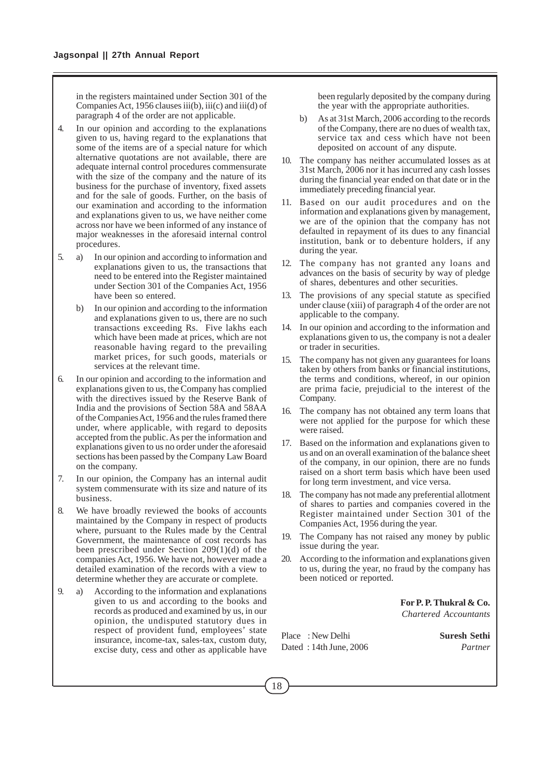in the registers maintained under Section 301 of the Companies Act, 1956 clauses iii(b), iii(c) and iii(d) of paragraph 4 of the order are not applicable.

- 4. In our opinion and according to the explanations given to us, having regard to the explanations that some of the items are of a special nature for which alternative quotations are not available, there are adequate internal control procedures commensurate with the size of the company and the nature of its business for the purchase of inventory, fixed assets and for the sale of goods. Further, on the basis of our examination and according to the information and explanations given to us, we have neither come across nor have we been informed of any instance of major weaknesses in the aforesaid internal control procedures.
- 5. a) In our opinion and according to information and explanations given to us, the transactions that need to be entered into the Register maintained under Section 301 of the Companies Act, 1956 have been so entered.
	- b) In our opinion and according to the information and explanations given to us, there are no such transactions exceeding Rs. Five lakhs each which have been made at prices, which are not reasonable having regard to the prevailing market prices, for such goods, materials or services at the relevant time.
- 6. In our opinion and according to the information and explanations given to us, the Company has complied with the directives issued by the Reserve Bank of India and the provisions of Section 58A and 58AA of the Companies Act, 1956 and the rules framed there under, where applicable, with regard to deposits accepted from the public. As per the information and explanations given to us no order under the aforesaid sections has been passed by the Company Law Board on the company.
- 7. In our opinion, the Company has an internal audit system commensurate with its size and nature of its business.
- We have broadly reviewed the books of accounts maintained by the Company in respect of products where, pursuant to the Rules made by the Central Government, the maintenance of cost records has been prescribed under Section 209(1)(d) of the companies Act, 1956. We have not, however made a detailed examination of the records with a view to determine whether they are accurate or complete.
- 9. a) According to the information and explanations given to us and according to the books and records as produced and examined by us, in our opinion, the undisputed statutory dues in respect of provident fund, employees' state insurance, income-tax, sales-tax, custom duty, excise duty, cess and other as applicable have

been regularly deposited by the company during the year with the appropriate authorities.

- b) As at 31st March, 2006 according to the records of the Company, there are no dues of wealth tax, service tax and cess which have not been deposited on account of any dispute.
- 10. The company has neither accumulated losses as at 31st March, 2006 nor it has incurred any cash losses during the financial year ended on that date or in the immediately preceding financial year.
- 11. Based on our audit procedures and on the information and explanations given by management, we are of the opinion that the company has not defaulted in repayment of its dues to any financial institution, bank or to debenture holders, if any during the year.
- 12. The company has not granted any loans and advances on the basis of security by way of pledge of shares, debentures and other securities.
- 13. The provisions of any special statute as specified under clause (xiii) of paragraph 4 of the order are not applicable to the company.
- 14. In our opinion and according to the information and explanations given to us, the company is not a dealer or trader in securities.
- 15. The company has not given any guarantees for loans taken by others from banks or financial institutions, the terms and conditions, whereof, in our opinion are prima facie, prejudicial to the interest of the Company.
- 16. The company has not obtained any term loans that were not applied for the purpose for which these were raised.
- 17. Based on the information and explanations given to us and on an overall examination of the balance sheet of the company, in our opinion, there are no funds raised on a short term basis which have been used for long term investment, and vice versa.
- 18. The company has not made any preferential allotment of shares to parties and companies covered in the Register maintained under Section 301 of the Companies Act, 1956 during the year.
- 19. The Company has not raised any money by public issue during the year.
- 20. According to the information and explanations given to us, during the year, no fraud by the company has been noticed or reported.

**For P. P. Thukral & Co.** *Chartered Accountants*

Place : New Delhi **Suresh Sethi** Dated : 14th June, 2006 *Partner*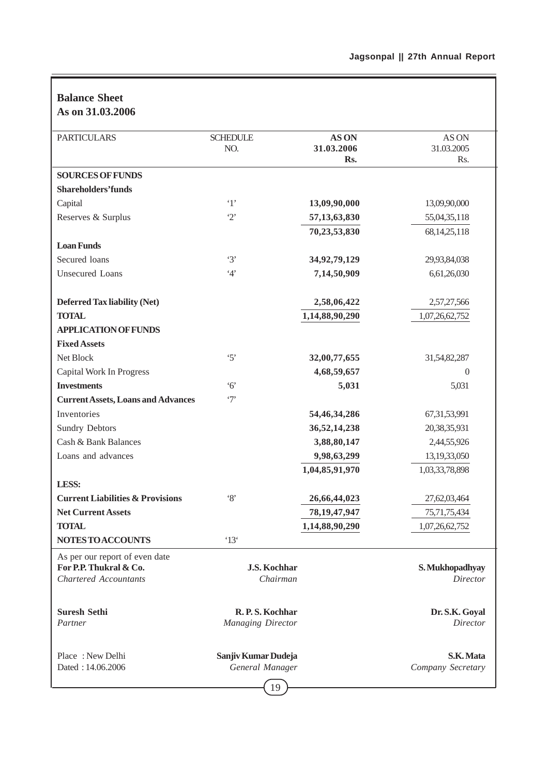## **Balance Sheet As on 31.03.2006**

| AS UIL J1.0J.4000                           |                          |                 |                   |
|---------------------------------------------|--------------------------|-----------------|-------------------|
| <b>PARTICULARS</b>                          | <b>SCHEDULE</b>          | <b>ASON</b>     | AS ON             |
|                                             | NO.                      | 31.03.2006      | 31.03.2005        |
|                                             |                          | Rs.             | Rs.               |
| <b>SOURCES OF FUNDS</b>                     |                          |                 |                   |
| <b>Shareholders'funds</b>                   |                          |                 |                   |
| Capital                                     | $\cdot_1$                | 13,09,90,000    | 13,09,90,000      |
| Reserves & Surplus                          | $\cdot_2$                | 57, 13, 63, 830 | 55,04,35,118      |
|                                             |                          | 70,23,53,830    | 68, 14, 25, 118   |
| <b>Loan Funds</b>                           |                          |                 |                   |
| Secured loans                               | $\cdot$ 3'               | 34,92,79,129    | 29,93,84,038      |
| <b>Unsecured</b> Loans                      | 4'                       | 7,14,50,909     | 6,61,26,030       |
| <b>Deferred Tax liability (Net)</b>         |                          | 2,58,06,422     | 2,57,27,566       |
| <b>TOTAL</b>                                |                          | 1,14,88,90,290  | 1,07,26,62,752    |
| <b>APPLICATION OF FUNDS</b>                 |                          |                 |                   |
| <b>Fixed Assets</b>                         |                          |                 |                   |
| Net Block                                   | $\cdot$ 5'               | 32,00,77,655    | 31,54,82,287      |
| Capital Work In Progress                    |                          | 4,68,59,657     | $\overline{0}$    |
| <b>Investments</b>                          | 6'                       | 5,031           | 5,031             |
| <b>Current Assets, Loans and Advances</b>   | $\cdot$ 7'               |                 |                   |
| Inventories                                 |                          | 54,46,34,286    | 67, 31, 53, 991   |
| <b>Sundry Debtors</b>                       |                          | 36,52,14,238    | 20,38,35,931      |
| Cash & Bank Balances                        |                          | 3,88,80,147     | 2,44,55,926       |
| Loans and advances                          |                          | 9,98,63,299     | 13,19,33,050      |
|                                             |                          | 1,04,85,91,970  | 1,03,33,78,898    |
| LESS:                                       |                          |                 |                   |
| <b>Current Liabilities &amp; Provisions</b> | $\cdot$ 8'               | 26,66,44,023    | 27,62,03,464      |
| <b>Net Current Assets</b>                   |                          | 78, 19, 47, 947 | 75,71,75,434      |
| <b>TOTAL</b>                                |                          | 1,14,88,90,290  | 1,07,26,62,752    |
| <b>NOTES TO ACCOUNTS</b>                    | $^{\circ}13^{\circ}$     |                 |                   |
| As per our report of even date              |                          |                 |                   |
| For P.P. Thukral & Co.                      | <b>J.S. Kochhar</b>      |                 | S. Mukhopadhyay   |
| <b>Chartered Accountants</b>                | Chairman                 |                 | <b>Director</b>   |
| <b>Suresh Sethi</b>                         | R.P.S. Kochhar           |                 | Dr. S.K. Goyal    |
| Partner                                     | <b>Managing Director</b> |                 | Director          |
| Place: New Delhi                            | Sanjiv Kumar Dudeja      |                 | S.K. Mata         |
| Dated: 14.06.2006                           | General Manager          |                 | Company Secretary |
|                                             | $\overline{10}$          |                 |                   |

 $(19)$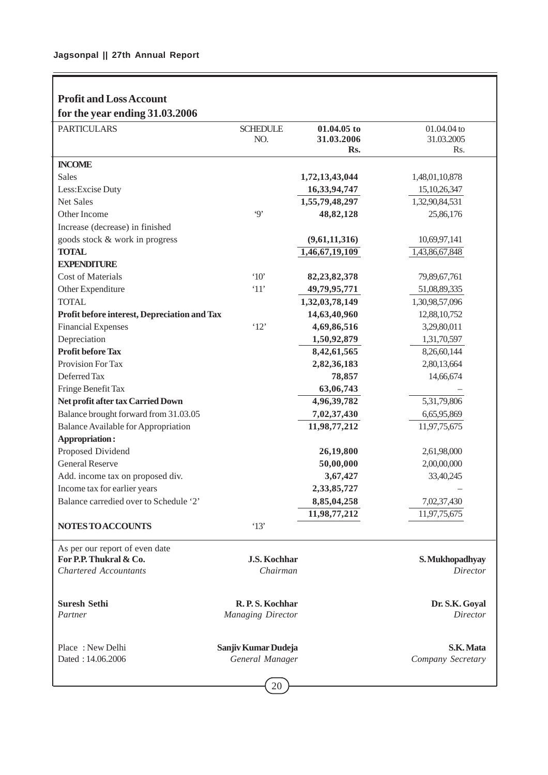| <b>Profit and Loss Account</b>               |                          |                   |                   |
|----------------------------------------------|--------------------------|-------------------|-------------------|
| for the year ending 31.03.2006               |                          |                   |                   |
| <b>PARTICULARS</b>                           | <b>SCHEDULE</b>          | 01.04.05 to       | 01.04.04 to       |
|                                              | NO.                      | 31.03.2006<br>Rs. | 31.03.2005<br>Rs. |
| <b>INCOME</b>                                |                          |                   |                   |
| <b>Sales</b>                                 |                          | 1,72,13,43,044    | 1,48,01,10,878    |
| Less: Excise Duty                            |                          | 16,33,94,747      | 15, 10, 26, 347   |
| <b>Net Sales</b>                             |                          | 1,55,79,48,297    | 1,32,90,84,531    |
| Other Income                                 | $\cdot$ 9'               | 48,82,128         | 25,86,176         |
| Increase (decrease) in finished              |                          |                   |                   |
| goods stock & work in progress               |                          | (9,61,11,316)     | 10,69,97,141      |
| <b>TOTAL</b>                                 |                          | 1,46,67,19,109    | 1,43,86,67,848    |
| <b>EXPENDITURE</b>                           |                          |                   |                   |
| <b>Cost of Materials</b>                     | $^{\circ}10'$            | 82, 23, 82, 378   | 79,89,67,761      |
| Other Expenditure                            | '11'                     | 49,79,95,771      | 51,08,89,335      |
| <b>TOTAL</b>                                 |                          | 1,32,03,78,149    | 1,30,98,57,096    |
| Profit before interest, Depreciation and Tax |                          | 14,63,40,960      | 12,88,10,752      |
| <b>Financial Expenses</b>                    | '12'                     | 4,69,86,516       | 3,29,80,011       |
| Depreciation                                 |                          | 1,50,92,879       | 1,31,70,597       |
| <b>Profit before Tax</b>                     |                          | 8,42,61,565       | 8,26,60,144       |
| Provision For Tax                            |                          | 2,82,36,183       | 2,80,13,664       |
| Deferred Tax                                 |                          | 78,857            | 14,66,674         |
| Fringe Benefit Tax                           |                          | 63,06,743         |                   |
| Net profit after tax Carried Down            |                          | 4,96,39,782       | 5,31,79,806       |
| Balance brought forward from 31.03.05        |                          | 7,02,37,430       | 6,65,95,869       |
| <b>Balance Available for Appropriation</b>   |                          | 11,98,77,212      | 11,97,75,675      |
| <b>Appropriation:</b>                        |                          |                   |                   |
| Proposed Dividend                            |                          | 26,19,800         | 2,61,98,000       |
| <b>General Reserve</b>                       |                          | 50,00,000         | 2,00,00,000       |
| Add. income tax on proposed div.             |                          | 3,67,427          | 33,40,245         |
| Income tax for earlier years                 |                          | 2,33,85,727       |                   |
| Balance carredied over to Schedule '2'       |                          | 8,85,04,258       | 7,02,37,430       |
|                                              |                          | 11,98,77,212      | 11,97,75,675      |
| NOTES TO ACCOUNTS                            | '13'                     |                   |                   |
| As per our report of even date               |                          |                   |                   |
| For P.P. Thukral & Co.                       | J.S. Kochhar             |                   | S. Mukhopadhyay   |
| <b>Chartered Accountants</b>                 | Chairman                 |                   | Director          |
|                                              |                          |                   |                   |
| <b>Suresh Sethi</b>                          | R.P.S. Kochhar           |                   | Dr. S.K. Goyal    |
| Partner                                      | <b>Managing Director</b> |                   | Director          |
|                                              |                          |                   |                   |
| Place: New Delhi                             | Sanjiv Kumar Dudeja      |                   | S.K. Mata         |
| Dated: 14.06.2006                            | General Manager          |                   | Company Secretary |
|                                              |                          |                   |                   |

# 20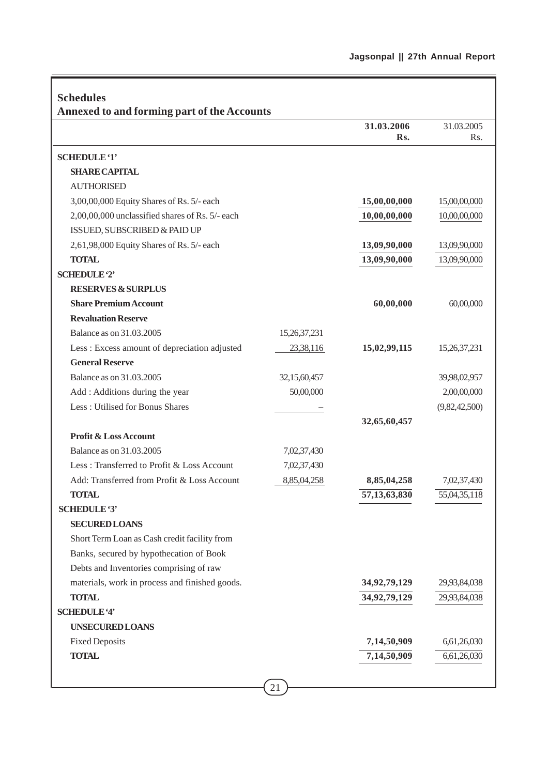| <b>Schedules</b><br><b>Annexed to and forming part of the Accounts</b> |              |                 |               |
|------------------------------------------------------------------------|--------------|-----------------|---------------|
|                                                                        |              | 31.03.2006      | 31.03.2005    |
|                                                                        |              | Rs.             | Rs.           |
| <b>SCHEDULE '1'</b>                                                    |              |                 |               |
| <b>SHARE CAPITAL</b>                                                   |              |                 |               |
| <b>AUTHORISED</b>                                                      |              |                 |               |
| 3,00,00,000 Equity Shares of Rs. 5/- each                              |              | 15,00,00,000    | 15,00,00,000  |
| 2,00,00,000 unclassified shares of Rs. 5/- each                        |              | 10,00,00,000    | 10,00,00,000  |
| ISSUED, SUBSCRIBED & PAID UP                                           |              |                 |               |
| 2,61,98,000 Equity Shares of Rs. 5/- each                              |              | 13,09,90,000    | 13,09,90,000  |
| <b>TOTAL</b>                                                           |              | 13,09,90,000    | 13,09,90,000  |
| <b>SCHEDULE '2'</b>                                                    |              |                 |               |
| <b>RESERVES &amp; SURPLUS</b>                                          |              |                 |               |
| <b>Share Premium Account</b>                                           |              | 60,00,000       | 60,00,000     |
| <b>Revaluation Reserve</b>                                             |              |                 |               |
| Balance as on 31.03.2005                                               | 15,26,37,231 |                 |               |
| Less : Excess amount of depreciation adjusted                          | 23,38,116    | 15,02,99,115    | 15,26,37,231  |
| <b>General Reserve</b>                                                 |              |                 |               |
| Balance as on 31.03.2005                                               | 32,15,60,457 |                 | 39,98,02,957  |
| Add : Additions during the year                                        | 50,00,000    |                 | 2,00,00,000   |
| Less: Utilised for Bonus Shares                                        |              |                 | (9,82,42,500) |
|                                                                        |              | 32,65,60,457    |               |
| <b>Profit &amp; Loss Account</b>                                       |              |                 |               |
| Balance as on 31,03,2005                                               | 7,02,37,430  |                 |               |
| Less: Transferred to Profit & Loss Account                             | 7,02,37,430  |                 |               |
| Add: Transferred from Profit & Loss Account                            | 8,85,04,258  | 8,85,04,258     | 7,02,37,430   |
| <b>TOTAL</b>                                                           |              | 57, 13, 63, 830 | 55,04,35,118  |
| <b>SCHEDULE '3'</b>                                                    |              |                 |               |
| <b>SECURED LOANS</b>                                                   |              |                 |               |
| Short Term Loan as Cash credit facility from                           |              |                 |               |
| Banks, secured by hypothecation of Book                                |              |                 |               |
| Debts and Inventories comprising of raw                                |              |                 |               |
| materials, work in process and finished goods.                         |              | 34, 92, 79, 129 | 29,93,84,038  |
| <b>TOTAL</b>                                                           |              | 34,92,79,129    | 29,93,84,038  |
| <b>SCHEDULE '4'</b>                                                    |              |                 |               |
| <b>UNSECURED LOANS</b>                                                 |              |                 |               |
| <b>Fixed Deposits</b>                                                  |              | 7,14,50,909     | 6,61,26,030   |
| <b>TOTAL</b>                                                           |              | 7,14,50,909     | 6,61,26,030   |
|                                                                        |              |                 |               |

J.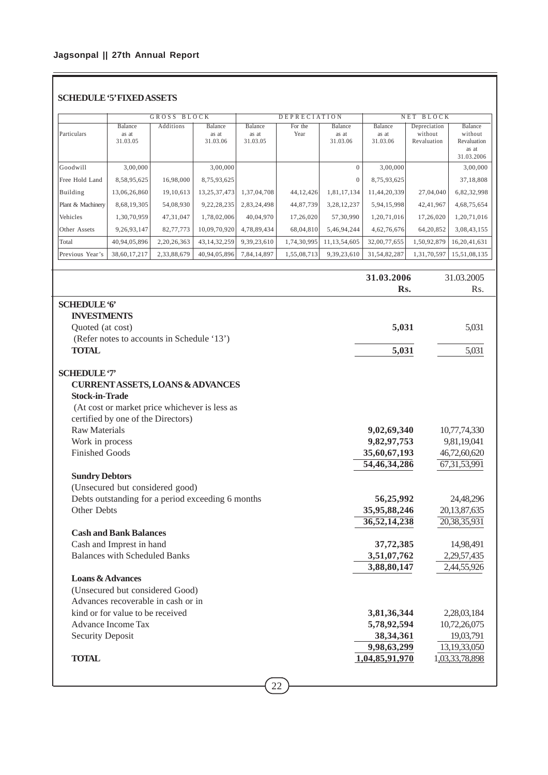## **SCHEDULE '5' FIXED ASSETS**

|                   | BLOCK<br><b>GROSS</b>        |             |                              |                              | <b>DEPRECIATION</b> |                              |                              | <b>BLOCK</b><br>NET                    |                                                          |  |
|-------------------|------------------------------|-------------|------------------------------|------------------------------|---------------------|------------------------------|------------------------------|----------------------------------------|----------------------------------------------------------|--|
| Particulars       | Balance<br>as at<br>31.03.05 | Additions   | Balance<br>as at<br>31.03.06 | Balance<br>as at<br>31.03.05 | For the<br>Year     | Balance<br>as at<br>31.03.06 | Balance<br>as at<br>31.03.06 | Depreciation<br>without<br>Revaluation | Balance<br>without<br>Revaluation<br>as at<br>31.03.2006 |  |
| Goodwill          | 3.00.000                     |             | 3,00,000                     |                              |                     | $\Omega$                     | 3,00,000                     |                                        | 3,00,000                                                 |  |
| Free Hold Land    | 8,58,95,625                  | 16.98.000   | 8,75,93,625                  |                              |                     | $\mathbf{0}$                 | 8,75,93,625                  |                                        | 37,18,808                                                |  |
| Building          | 13,06,26,860                 | 19.10.613   | 13,25,37,473                 | 1.37,04,708                  | 44,12,426           | 1,81,17,134                  | 11,44,20,339                 | 27,04,040                              | 6,82,32,998                                              |  |
| Plant & Machinery | 8,68,19,305                  | 54,08,930   | 9, 22, 28, 235               | 2,83,24,498                  | 44,87,739           | 3,28,12,237                  | 5,94,15,998                  | 42,41,967                              | 4,68,75,654                                              |  |
| Vehicles          | 1,30,70,959                  | 47, 31, 047 | 1,78,02,006                  | 40,04,970                    | 17,26,020           | 57,30,990                    | 1,20,71,016                  | 17,26,020                              | 1,20,71,016                                              |  |
| Other Assets      | 9,26,93,147                  | 82,77,773   | 10.09.70.920                 | 4,78,89,434                  | 68,04,810           | 5,46,94,244                  | 4,62,76,676                  | 64,20,852                              | 3,08,43,155                                              |  |
| Total             | 40,94,05,896                 | 2,20,26,363 | 43, 14, 32, 259              | 9,39,23,610                  | 1,74,30,995         | 11,13,54,605                 | 32,00,77,655                 | 1,50,92,879                            | 16,20,41,631                                             |  |
| Previous Year's   | 38,60,17,217                 | 2,33,88,679 | 40,94,05,896                 | 7,84,14,897                  | 1,55,08,713         | 9,39,23,610                  | 31,54,82,287                 | 1,31,70,597                            | 15,51,08,135                                             |  |

|                                                   | 31.03.2006     | 31.03.2005      |
|---------------------------------------------------|----------------|-----------------|
|                                                   | Rs.            | Rs.             |
| <b>SCHEDULE'6'</b>                                |                |                 |
| <b>INVESTMENTS</b>                                |                |                 |
| Quoted (at cost)                                  | 5,031          | 5,031           |
| (Refer notes to accounts in Schedule '13')        |                |                 |
| <b>TOTAL</b>                                      | 5,031          | 5,031           |
| <b>SCHEDULE '7'</b>                               |                |                 |
| <b>CURRENT ASSETS, LOANS &amp; ADVANCES</b>       |                |                 |
| <b>Stock-in-Trade</b>                             |                |                 |
| (At cost or market price whichever is less as     |                |                 |
| certified by one of the Directors)                |                |                 |
| <b>Raw Materials</b>                              | 9,02,69,340    | 10,77,74,330    |
| Work in process                                   | 9,82,97,753    | 9,81,19,041     |
| <b>Finished Goods</b>                             | 35,60,67,193   | 46,72,60,620    |
|                                                   | 54,46,34,286   | 67, 31, 53, 991 |
| <b>Sundry Debtors</b>                             |                |                 |
| (Unsecured but considered good)                   |                |                 |
| Debts outstanding for a period exceeding 6 months | 56,25,992      | 24,48,296       |
| Other Debts                                       | 35,95,88,246   | 20,13,87,635    |
|                                                   | 36,52,14,238   | 20,38,35,931    |
| <b>Cash and Bank Balances</b>                     |                |                 |
| Cash and Imprest in hand                          | 37,72,385      | 14,98,491       |
| <b>Balances with Scheduled Banks</b>              | 3,51,07,762    | 2,29,57,435     |
|                                                   | 3,88,80,147    | 2,44,55,926     |
| <b>Loans &amp; Advances</b>                       |                |                 |
| (Unsecured but considered Good)                   |                |                 |
| Advances recoverable in cash or in                |                |                 |
| kind or for value to be received                  | 3,81,36,344    | 2,28,03,184     |
| Advance Income Tax                                | 5,78,92,594    | 10,72,26,075    |
| <b>Security Deposit</b>                           | 38, 34, 361    | 19,03,791       |
|                                                   | 9,98,63,299    | 13,19,33,050    |
| <b>TOTAL</b>                                      | 1,04,85,91,970 | 1,03,33,78,898  |
|                                                   |                |                 |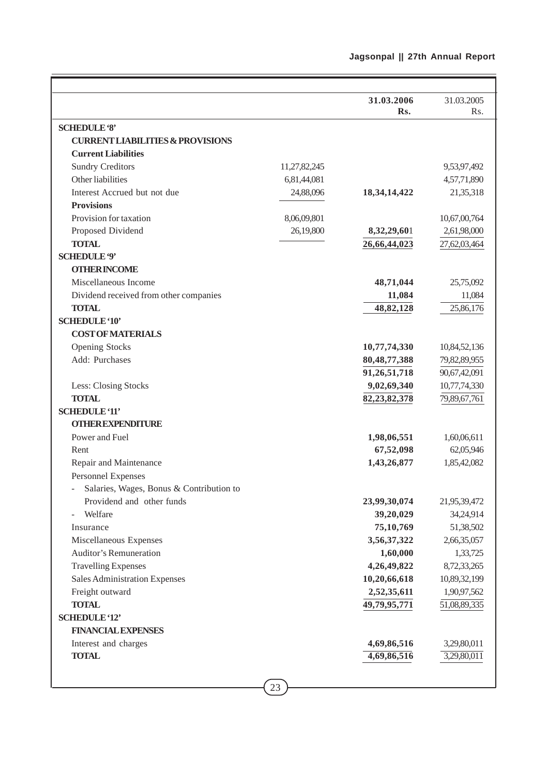|                                             |              | 31.03.2006      | 31.03.2005   |
|---------------------------------------------|--------------|-----------------|--------------|
|                                             |              | Rs.             | Rs.          |
| <b>SCHEDULE '8'</b>                         |              |                 |              |
| <b>CURRENT LIABILITIES &amp; PROVISIONS</b> |              |                 |              |
| <b>Current Liabilities</b>                  |              |                 |              |
| <b>Sundry Creditors</b>                     | 11,27,82,245 |                 | 9,53,97,492  |
| Other liabilities                           | 6,81,44,081  |                 | 4,57,71,890  |
| Interest Accrued but not due                | 24,88,096    | 18, 34, 14, 422 | 21,35,318    |
| <b>Provisions</b>                           |              |                 |              |
| Provision for taxation                      | 8,06,09,801  |                 | 10,67,00,764 |
| Proposed Dividend                           | 26,19,800    | 8,32,29,601     | 2,61,98,000  |
| <b>TOTAL</b>                                |              | 26,66,44,023    | 27,62,03,464 |
| <b>SCHEDULE '9'</b>                         |              |                 |              |
| <b>OTHER INCOME</b>                         |              |                 |              |
| Miscellaneous Income                        |              | 48,71,044       | 25,75,092    |
| Dividend received from other companies      |              | 11,084          | 11,084       |
| <b>TOTAL</b>                                |              | 48,82,128       | 25,86,176    |
| <b>SCHEDULE '10'</b>                        |              |                 |              |
| <b>COST OF MATERIALS</b>                    |              |                 |              |
| <b>Opening Stocks</b>                       |              | 10,77,74,330    | 10,84,52,136 |
| Add: Purchases                              |              | 80, 48, 77, 388 | 79,82,89,955 |
|                                             |              | 91,26,51,718    | 90,67,42,091 |
| Less: Closing Stocks                        |              | 9,02,69,340     | 10,77,74,330 |
| <b>TOTAL</b>                                |              | 82,23,82,378    | 79,89,67,761 |
| <b>SCHEDULE '11'</b>                        |              |                 |              |
| <b>OTHER EXPENDITURE</b>                    |              |                 |              |
| Power and Fuel                              |              | 1,98,06,551     | 1,60,06,611  |
| Rent                                        |              | 67,52,098       | 62,05,946    |
| Repair and Maintenance                      |              | 1,43,26,877     | 1,85,42,082  |
| Personnel Expenses                          |              |                 |              |
| Salaries, Wages, Bonus & Contribution to    |              |                 |              |
| Providend and other funds                   |              | 23,99,30,074    | 21,95,39,472 |
| Welfare                                     |              | 39,20,029       | 34,24,914    |
| Insurance                                   |              | 75,10,769       | 51,38,502    |
| Miscellaneous Expenses                      |              | 3,56,37,322     | 2,66,35,057  |
| <b>Auditor's Remuneration</b>               |              | 1,60,000        | 1,33,725     |
| <b>Travelling Expenses</b>                  |              | 4,26,49,822     | 8,72,33,265  |
| Sales Administration Expenses               |              | 10,20,66,618    | 10,89,32,199 |
| Freight outward                             |              | 2,52,35,611     | 1,90,97,562  |
| <b>TOTAL</b>                                |              | 49,79,95,771    | 51,08,89,335 |
| <b>SCHEDULE '12'</b>                        |              |                 |              |
| <b>FINANCIAL EXPENSES</b>                   |              |                 |              |
| Interest and charges                        |              | 4,69,86,516     | 3,29,80,011  |
| <b>TOTAL</b>                                |              | 4,69,86,516     | 3,29,80,011  |
|                                             |              |                 |              |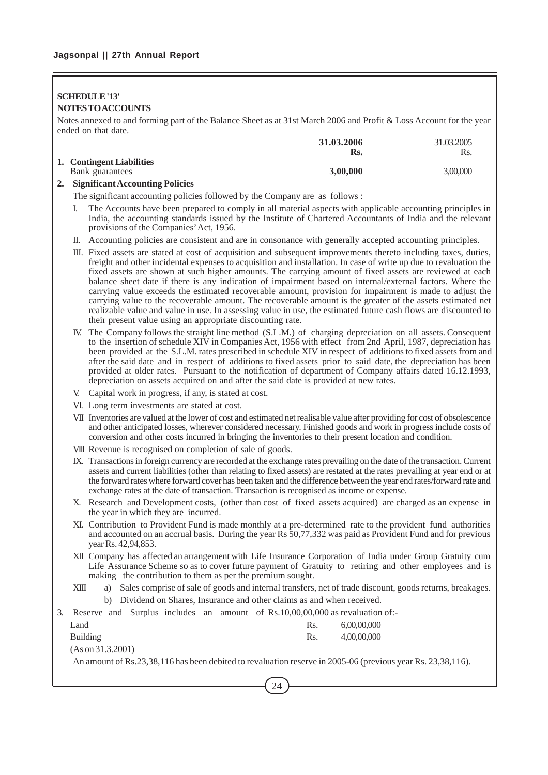## **SCHEDULE '13' NOTES TO ACCOUNTS**

Notes annexed to and forming part of the Balance Sheet as at 31st March 2006 and Profit & Loss Account for the year ended on that date.

|                           | 31.03.2006 | 31.03.2005 |
|---------------------------|------------|------------|
|                           | Rs.        | Rs.        |
| 1. Contingent Liabilities |            |            |
| Bank guarantees           | 3,00,000   | 3,00,000   |
|                           |            |            |

## **2. Significant Accounting Policies**

The significant accounting policies followed by the Company are as follows :

- I. The Accounts have been prepared to comply in all material aspects with applicable accounting principles in India, the accounting standards issued by the Institute of Chartered Accountants of India and the relevant provisions of the Companies' Act, 1956.
- II. Accounting policies are consistent and are in consonance with generally accepted accounting principles.
- III. Fixed assets are stated at cost of acquisition and subsequent improvements thereto including taxes, duties, freight and other incidental expenses to acquisition and installation. In case of write up due to revaluation the fixed assets are shown at such higher amounts. The carrying amount of fixed assets are reviewed at each balance sheet date if there is any indication of impairment based on internal/external factors. Where the carrying value exceeds the estimated recoverable amount, provision for impairment is made to adjust the carrying value to the recoverable amount. The recoverable amount is the greater of the assets estimated net realizable value and value in use. In assessing value in use, the estimated future cash flows are discounted to their present value using an appropriate discounting rate.
- IV. The Company follows the straight line method (S.L.M.) of charging depreciation on all assets. Consequent to the insertion of schedule XIV in Companies Act, 1956 with effect from 2nd April, 1987, depreciation has been provided at the S.L.M. rates prescribed in schedule XIV in respect of additions to fixed assets from and after the said date and in respect of additions to fixed assets prior to said date, the depreciation has been provided at older rates. Pursuant to the notification of department of Company affairs dated 16.12.1993, depreciation on assets acquired on and after the said date is provided at new rates.
- V. Capital work in progress, if any, is stated at cost.
- VI. Long term investments are stated at cost.
- VII Inventories are valued at the lower of cost and estimated net realisable value after providing for cost of obsolescence and other anticipated losses, wherever considered necessary. Finished goods and work in progress include costs of conversion and other costs incurred in bringing the inventories to their present location and condition.
- VIII Revenue is recognised on completion of sale of goods.
- IX. Transactions in foreign currency are recorded at the exchange rates prevailing on the date of the transaction. Current assets and current liabilities (other than relating to fixed assets) are restated at the rates prevailing at year end or at the forward rates where forward cover has been taken and the difference between the year end rates/forward rate and exchange rates at the date of transaction. Transaction is recognised as income or expense.
- X. Research and Development costs, (other than cost of fixed assets acquired) are charged as an expense in the year in which they are incurred.
- XI. Contribution to Provident Fund is made monthly at a pre-determined rate to the provident fund authorities and accounted on an accrual basis. During the year Rs 50,77,332 was paid as Provident Fund and for previous year Rs. 42,94,853.
- XII Company has affected an arrangement with Life Insurance Corporation of India under Group Gratuity cum Life Assurance Scheme so as to cover future payment of Gratuity to retiring and other employees and is making the contribution to them as per the premium sought.
- XIII a) Sales comprise of sale of goods and internal transfers, net of trade discount, goods returns, breakages. b) Dividend on Shares, Insurance and other claims as and when received.

3. Reserve and Surplus includes an amount of Rs.10,00,00,000 as revaluation of:- Land Rs. 6,00,00,000 Building Rs. 4,00,00,000 (As on 31.3.2001) An amount of Rs.23,38,116 has been debited to revaluation reserve in 2005-06 (previous year Rs. 23,38,116).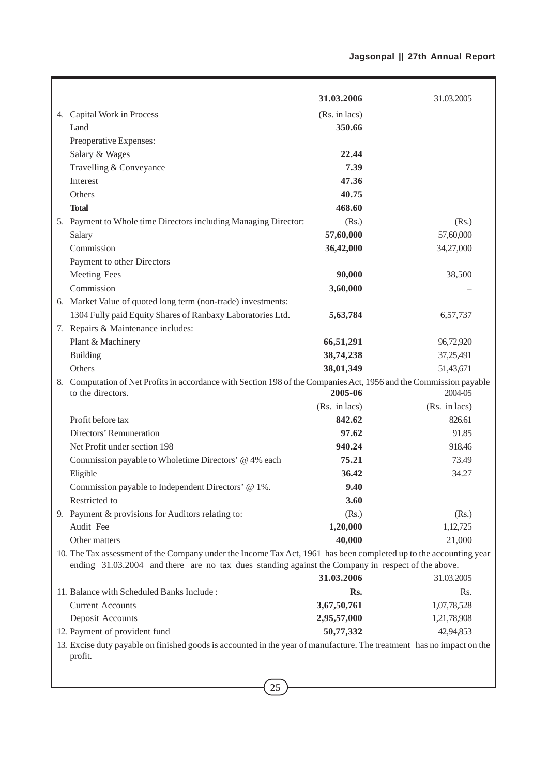|    |                                                                                                                                                                                                                        | 31.03.2006    | 31.03.2005    |
|----|------------------------------------------------------------------------------------------------------------------------------------------------------------------------------------------------------------------------|---------------|---------------|
|    | 4. Capital Work in Process                                                                                                                                                                                             | (Rs. in lacs) |               |
|    | Land                                                                                                                                                                                                                   | 350.66        |               |
|    | Preoperative Expenses:                                                                                                                                                                                                 |               |               |
|    | Salary & Wages                                                                                                                                                                                                         | 22.44         |               |
|    | Travelling & Conveyance                                                                                                                                                                                                | 7.39          |               |
|    | Interest                                                                                                                                                                                                               | 47.36         |               |
|    | Others                                                                                                                                                                                                                 | 40.75         |               |
|    | <b>Total</b>                                                                                                                                                                                                           | 468.60        |               |
|    | 5. Payment to Whole time Directors including Managing Director:                                                                                                                                                        | (Rs.)         | (Rs.)         |
|    | Salary                                                                                                                                                                                                                 | 57,60,000     | 57,60,000     |
|    | Commission                                                                                                                                                                                                             | 36,42,000     | 34,27,000     |
|    | Payment to other Directors                                                                                                                                                                                             |               |               |
|    | Meeting Fees                                                                                                                                                                                                           | 90,000        | 38,500        |
|    | Commission                                                                                                                                                                                                             | 3,60,000      |               |
|    | 6. Market Value of quoted long term (non-trade) investments:                                                                                                                                                           |               |               |
|    | 1304 Fully paid Equity Shares of Ranbaxy Laboratories Ltd.                                                                                                                                                             | 5,63,784      | 6,57,737      |
|    | 7. Repairs & Maintenance includes:                                                                                                                                                                                     |               |               |
|    | Plant & Machinery                                                                                                                                                                                                      | 66,51,291     | 96,72,920     |
|    | <b>Building</b>                                                                                                                                                                                                        | 38,74,238     | 37,25,491     |
|    | Others                                                                                                                                                                                                                 | 38,01,349     | 51,43,671     |
| 8. | Computation of Net Profits in accordance with Section 198 of the Companies Act, 1956 and the Commission payable                                                                                                        |               |               |
|    | to the directors.                                                                                                                                                                                                      | 2005-06       | 2004-05       |
|    |                                                                                                                                                                                                                        | (Rs. in lacs) | (Rs. in lacs) |
|    | Profit before tax                                                                                                                                                                                                      | 842.62        | 826.61        |
|    | Directors' Remuneration                                                                                                                                                                                                | 97.62         | 91.85         |
|    | Net Profit under section 198                                                                                                                                                                                           | 940.24        | 918.46        |
|    | Commission payable to Wholetime Directors' @ 4% each                                                                                                                                                                   | 75.21         | 73.49         |
|    | Eligible                                                                                                                                                                                                               | 36.42         | 34.27         |
|    | Commission payable to Independent Directors' @ 1%.                                                                                                                                                                     | 9.40          |               |
|    | Restricted to                                                                                                                                                                                                          | 3.60          |               |
|    | 9. Payment & provisions for Auditors relating to:                                                                                                                                                                      | (Rs.)         | (Rs.)         |
|    | Audit Fee                                                                                                                                                                                                              | 1,20,000      | 1,12,725      |
|    | Other matters                                                                                                                                                                                                          | 40,000        | 21,000        |
|    | 10. The Tax assessment of the Company under the Income Tax Act, 1961 has been completed up to the accounting year<br>ending 31.03.2004 and there are no tax dues standing against the Company in respect of the above. |               |               |
|    |                                                                                                                                                                                                                        | 31.03.2006    | 31.03.2005    |
|    | 11. Balance with Scheduled Banks Include:                                                                                                                                                                              | Rs.           | Rs.           |
|    | <b>Current Accounts</b>                                                                                                                                                                                                | 3,67,50,761   | 1,07,78,528   |
|    | Deposit Accounts                                                                                                                                                                                                       | 2,95,57,000   | 1,21,78,908   |
|    | 12. Payment of provident fund                                                                                                                                                                                          | 50,77,332     | 42,94,853     |
|    | 13. Excise duty payable on finished goods is accounted in the year of manufacture. The treatment has no impact on the<br>profit.                                                                                       |               |               |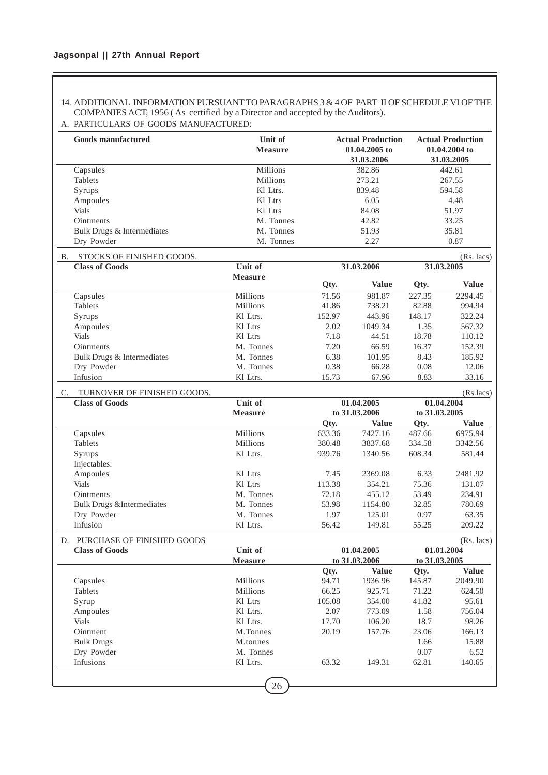## 14. ADDITIONAL INFORMATION PURSUANT TO PARAGRAPHS 3 & 4 OF PART II OF SCHEDULE VI OF THE COMPANIES ACT, 1956 ( As certified by a Director and accepted by the Auditors).

## A. PARTICULARS OF GOODS MANUFACTURED:

| <b>Millions</b><br>Millions<br>Kl Ltrs.<br>Kl Ltrs<br>Kl Ltrs<br>M. Tonnes<br>M. Tonnes<br>M. Tonnes<br>Qty.<br>71.56<br>41.86<br>152.97<br>2.02<br>7.18<br>7.20<br>M. Tonnes<br>M. Tonnes<br>6.38<br>M. Tonnes<br>0.38<br>15.73 | 382.86<br>273.21<br>839.48<br>6.05<br>84.08<br>42.82<br>51.93<br>2.27<br>31.03.2006<br><b>Value</b><br>981.87<br>738.21<br>443.96<br>1049.34<br>44.51<br>66.59<br>101.95<br>66.28<br>67.96<br>01.04.2005 | Qty.<br>227.35<br>82.88<br>148.17<br>1.35<br>18.78<br>16.37<br>8.43<br>0.08<br>8.83                               | 442.61<br>267.55<br>594.58<br>4.48<br>51.97<br>33.25<br>35.81<br>0.87<br>31.03.2005<br><b>Value</b><br>2294.45<br>994.94<br>322.24<br>567.32<br>110.12<br>152.39<br>185.92<br>12.06<br>33.16 |  |  |
|----------------------------------------------------------------------------------------------------------------------------------------------------------------------------------------------------------------------------------|----------------------------------------------------------------------------------------------------------------------------------------------------------------------------------------------------------|-------------------------------------------------------------------------------------------------------------------|----------------------------------------------------------------------------------------------------------------------------------------------------------------------------------------------|--|--|
|                                                                                                                                                                                                                                  |                                                                                                                                                                                                          |                                                                                                                   |                                                                                                                                                                                              |  |  |
|                                                                                                                                                                                                                                  |                                                                                                                                                                                                          |                                                                                                                   |                                                                                                                                                                                              |  |  |
|                                                                                                                                                                                                                                  |                                                                                                                                                                                                          |                                                                                                                   |                                                                                                                                                                                              |  |  |
|                                                                                                                                                                                                                                  |                                                                                                                                                                                                          |                                                                                                                   |                                                                                                                                                                                              |  |  |
|                                                                                                                                                                                                                                  |                                                                                                                                                                                                          |                                                                                                                   |                                                                                                                                                                                              |  |  |
|                                                                                                                                                                                                                                  |                                                                                                                                                                                                          |                                                                                                                   |                                                                                                                                                                                              |  |  |
|                                                                                                                                                                                                                                  |                                                                                                                                                                                                          |                                                                                                                   |                                                                                                                                                                                              |  |  |
|                                                                                                                                                                                                                                  |                                                                                                                                                                                                          |                                                                                                                   | $(Rs.$ lacs)<br>(Rs.lacs)                                                                                                                                                                    |  |  |
|                                                                                                                                                                                                                                  |                                                                                                                                                                                                          |                                                                                                                   |                                                                                                                                                                                              |  |  |
|                                                                                                                                                                                                                                  |                                                                                                                                                                                                          |                                                                                                                   |                                                                                                                                                                                              |  |  |
|                                                                                                                                                                                                                                  |                                                                                                                                                                                                          |                                                                                                                   |                                                                                                                                                                                              |  |  |
|                                                                                                                                                                                                                                  |                                                                                                                                                                                                          |                                                                                                                   |                                                                                                                                                                                              |  |  |
|                                                                                                                                                                                                                                  |                                                                                                                                                                                                          |                                                                                                                   |                                                                                                                                                                                              |  |  |
|                                                                                                                                                                                                                                  |                                                                                                                                                                                                          |                                                                                                                   |                                                                                                                                                                                              |  |  |
|                                                                                                                                                                                                                                  |                                                                                                                                                                                                          |                                                                                                                   |                                                                                                                                                                                              |  |  |
|                                                                                                                                                                                                                                  |                                                                                                                                                                                                          |                                                                                                                   |                                                                                                                                                                                              |  |  |
|                                                                                                                                                                                                                                  |                                                                                                                                                                                                          |                                                                                                                   |                                                                                                                                                                                              |  |  |
|                                                                                                                                                                                                                                  |                                                                                                                                                                                                          |                                                                                                                   |                                                                                                                                                                                              |  |  |
|                                                                                                                                                                                                                                  |                                                                                                                                                                                                          |                                                                                                                   |                                                                                                                                                                                              |  |  |
|                                                                                                                                                                                                                                  |                                                                                                                                                                                                          |                                                                                                                   |                                                                                                                                                                                              |  |  |
|                                                                                                                                                                                                                                  |                                                                                                                                                                                                          |                                                                                                                   |                                                                                                                                                                                              |  |  |
|                                                                                                                                                                                                                                  |                                                                                                                                                                                                          |                                                                                                                   |                                                                                                                                                                                              |  |  |
|                                                                                                                                                                                                                                  | to 31.03.2006                                                                                                                                                                                            |                                                                                                                   | 01.04.2004<br>to 31.03.2005                                                                                                                                                                  |  |  |
| Qty.                                                                                                                                                                                                                             | <b>Value</b>                                                                                                                                                                                             | Qty.                                                                                                              | <b>Value</b>                                                                                                                                                                                 |  |  |
| 633.36                                                                                                                                                                                                                           | 7427.16                                                                                                                                                                                                  | 487.66                                                                                                            | 6975.94                                                                                                                                                                                      |  |  |
| 380.48                                                                                                                                                                                                                           | 3837.68                                                                                                                                                                                                  | 334.58                                                                                                            | 3342.56                                                                                                                                                                                      |  |  |
| 939.76                                                                                                                                                                                                                           | 1340.56                                                                                                                                                                                                  | 608.34                                                                                                            | 581.44                                                                                                                                                                                       |  |  |
|                                                                                                                                                                                                                                  |                                                                                                                                                                                                          |                                                                                                                   |                                                                                                                                                                                              |  |  |
| 7.45                                                                                                                                                                                                                             | 2369.08                                                                                                                                                                                                  | 6.33                                                                                                              | 2481.92                                                                                                                                                                                      |  |  |
| 113.38                                                                                                                                                                                                                           | 354.21                                                                                                                                                                                                   | 75.36                                                                                                             | 131.07                                                                                                                                                                                       |  |  |
| M. Tonnes<br>72.18                                                                                                                                                                                                               | 455.12                                                                                                                                                                                                   | 53.49                                                                                                             | 234.91                                                                                                                                                                                       |  |  |
| M. Tonnes<br>53.98                                                                                                                                                                                                               | 1154.80                                                                                                                                                                                                  | 32.85                                                                                                             | 780.69                                                                                                                                                                                       |  |  |
| M. Tonnes<br>1.97                                                                                                                                                                                                                | 125.01                                                                                                                                                                                                   | 0.97                                                                                                              | 63.35                                                                                                                                                                                        |  |  |
| 56.42                                                                                                                                                                                                                            | 149.81                                                                                                                                                                                                   | 55.25                                                                                                             | 209.22                                                                                                                                                                                       |  |  |
|                                                                                                                                                                                                                                  |                                                                                                                                                                                                          |                                                                                                                   | $(Rs.$ lacs)                                                                                                                                                                                 |  |  |
| Unit of<br>01.04.2005<br><b>Measure</b>                                                                                                                                                                                          |                                                                                                                                                                                                          |                                                                                                                   | 01.01.2004                                                                                                                                                                                   |  |  |
|                                                                                                                                                                                                                                  | to 31.03.2006                                                                                                                                                                                            | to 31.03.2005                                                                                                     |                                                                                                                                                                                              |  |  |
| Qty.                                                                                                                                                                                                                             | <b>Value</b>                                                                                                                                                                                             | Qty.                                                                                                              | <b>Value</b>                                                                                                                                                                                 |  |  |
|                                                                                                                                                                                                                                  |                                                                                                                                                                                                          |                                                                                                                   | 2049.90                                                                                                                                                                                      |  |  |
|                                                                                                                                                                                                                                  |                                                                                                                                                                                                          |                                                                                                                   | 624.50                                                                                                                                                                                       |  |  |
|                                                                                                                                                                                                                                  |                                                                                                                                                                                                          |                                                                                                                   | 95.61                                                                                                                                                                                        |  |  |
|                                                                                                                                                                                                                                  |                                                                                                                                                                                                          |                                                                                                                   | 756.04                                                                                                                                                                                       |  |  |
|                                                                                                                                                                                                                                  |                                                                                                                                                                                                          |                                                                                                                   | 98.26                                                                                                                                                                                        |  |  |
|                                                                                                                                                                                                                                  |                                                                                                                                                                                                          |                                                                                                                   | 166.13                                                                                                                                                                                       |  |  |
|                                                                                                                                                                                                                                  | 157.76                                                                                                                                                                                                   |                                                                                                                   |                                                                                                                                                                                              |  |  |
|                                                                                                                                                                                                                                  |                                                                                                                                                                                                          | 1.66                                                                                                              | 15.88                                                                                                                                                                                        |  |  |
| M. Tonnes<br>63.32                                                                                                                                                                                                               | 149.31                                                                                                                                                                                                   | 0.07<br>62.81                                                                                                     | 6.52<br>140.65                                                                                                                                                                               |  |  |
|                                                                                                                                                                                                                                  |                                                                                                                                                                                                          | 94.71<br>1936.96<br>66.25<br>925.71<br>105.08<br>354.00<br>2.07<br>773.09<br>17.70<br>106.20<br>M.Tonnes<br>20.19 | 145.87<br>71.22<br>41.82<br>1.58<br>18.7<br>23.06                                                                                                                                            |  |  |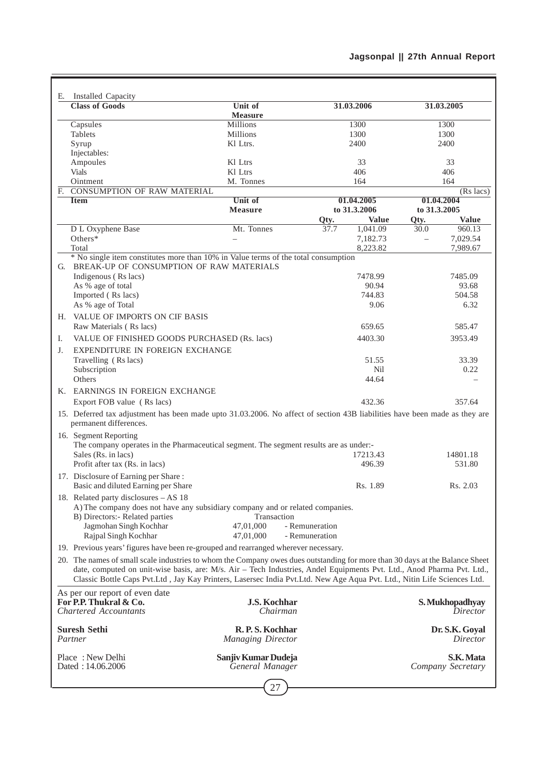|    | E. Installed Capacity                                                                                                                                                                                                                             |                                            |                      |                            |
|----|---------------------------------------------------------------------------------------------------------------------------------------------------------------------------------------------------------------------------------------------------|--------------------------------------------|----------------------|----------------------------|
|    | <b>Class of Goods</b>                                                                                                                                                                                                                             | Unit of<br><b>Measure</b>                  | 31.03.2006           | 31.03.2005                 |
|    | Capsules                                                                                                                                                                                                                                          | <b>Millions</b>                            | 1300                 | 1300                       |
|    | Tablets                                                                                                                                                                                                                                           | Millions                                   | 1300                 | 1300                       |
|    | Syrup                                                                                                                                                                                                                                             | Kl Ltrs.                                   | 2400                 | 2400                       |
|    | Injectables:                                                                                                                                                                                                                                      |                                            |                      |                            |
|    | Ampoules                                                                                                                                                                                                                                          | Kl Ltrs                                    | 33                   | 33                         |
|    | <b>Vials</b><br>Ointment                                                                                                                                                                                                                          | Kl Ltrs                                    | 406                  | 406                        |
|    | F. CONSUMPTION OF RAW MATERIAL                                                                                                                                                                                                                    | M. Tonnes                                  | 164                  | 164<br>$(Rs$ lacs)         |
|    | <b>Item</b>                                                                                                                                                                                                                                       | Unit of                                    | 01.04.2005           | 01.04.2004                 |
|    |                                                                                                                                                                                                                                                   | <b>Measure</b>                             | to 31.3.2006         | to 31.3.2005               |
|    |                                                                                                                                                                                                                                                   |                                            | <b>Value</b><br>Qty. | <b>Value</b><br>Qty.       |
|    | D L Oxyphene Base                                                                                                                                                                                                                                 | Mt. Tonnes                                 | 1,041.09<br>37.7     | 30.0<br>960.13             |
|    | Others*                                                                                                                                                                                                                                           |                                            | 7,182.73             | 7,029.54<br>$\equiv$       |
|    | Total                                                                                                                                                                                                                                             |                                            | 8,223.82             | 7,989.67                   |
|    | * No single item constitutes more than 10% in Value terms of the total consumption                                                                                                                                                                |                                            |                      |                            |
|    | G. BREAK-UP OF CONSUMPTION OF RAW MATERIALS                                                                                                                                                                                                       |                                            |                      |                            |
|    | Indigenous (Rs lacs)                                                                                                                                                                                                                              |                                            | 7478.99              | 7485.09                    |
|    | As % age of total<br>Imported (Rs lacs)                                                                                                                                                                                                           |                                            | 90.94<br>744.83      | 93.68<br>504.58            |
|    | As % age of Total                                                                                                                                                                                                                                 |                                            | 9.06                 | 6.32                       |
|    |                                                                                                                                                                                                                                                   |                                            |                      |                            |
|    | H. VALUE OF IMPORTS ON CIF BASIS                                                                                                                                                                                                                  |                                            |                      |                            |
|    | Raw Materials (Rs lacs)                                                                                                                                                                                                                           |                                            | 659.65               | 585.47                     |
| Ι. | VALUE OF FINISHED GOODS PURCHASED (Rs. lacs)                                                                                                                                                                                                      |                                            | 4403.30              | 3953.49                    |
| J. | EXPENDITURE IN FOREIGN EXCHANGE                                                                                                                                                                                                                   |                                            |                      |                            |
|    | Travelling (Rs lacs)                                                                                                                                                                                                                              |                                            | 51.55                | 33.39                      |
|    | Subscription                                                                                                                                                                                                                                      |                                            | Nil                  | 0.22                       |
|    | Others                                                                                                                                                                                                                                            |                                            | 44.64                |                            |
|    | K. EARNINGS IN FOREIGN EXCHANGE<br>Export FOB value (Rs lacs)                                                                                                                                                                                     |                                            | 432.36               | 357.64                     |
|    | 15. Deferred tax adjustment has been made upto 31.03.2006. No affect of section 43B liabilities have been made as they are                                                                                                                        |                                            |                      |                            |
|    | permanent differences.                                                                                                                                                                                                                            |                                            |                      |                            |
|    | 16. Segment Reporting                                                                                                                                                                                                                             |                                            |                      |                            |
|    | The company operates in the Pharmaceutical segment. The segment results are as under:-                                                                                                                                                            |                                            |                      |                            |
|    | Sales (Rs. in lacs)                                                                                                                                                                                                                               |                                            | 17213.43             | 14801.18                   |
|    | Profit after tax (Rs. in lacs)                                                                                                                                                                                                                    |                                            | 496.39               | 531.80                     |
|    | 17. Disclosure of Earning per Share:<br>Basic and diluted Earning per Share                                                                                                                                                                       |                                            | Rs. 1.89             | Rs. 2.03                   |
|    | 18. Related party disclosures – AS 18                                                                                                                                                                                                             |                                            |                      |                            |
|    | A) The company does not have any subsidiary company and or related companies.                                                                                                                                                                     |                                            |                      |                            |
|    | B) Directors:- Related parties                                                                                                                                                                                                                    | Transaction                                |                      |                            |
|    | Jagmohan Singh Kochhar                                                                                                                                                                                                                            | 47,01,000                                  | - Remuneration       |                            |
|    | Rajpal Singh Kochhar                                                                                                                                                                                                                              | 47,01,000                                  | - Remuneration       |                            |
|    | 19. Previous years' figures have been re-grouped and rearranged wherever necessary.                                                                                                                                                               |                                            |                      |                            |
|    | 20. The names of small scale industries to whom the Company owes dues outstanding for more than 30 days at the Balance Sheet                                                                                                                      |                                            |                      |                            |
|    | date, computed on unit-wise basis, are: M/s. Air - Tech Industries, Andel Equipments Pvt. Ltd., Anod Pharma Pvt. Ltd.,<br>Classic Bottle Caps Pvt.Ltd, Jay Kay Printers, Lasersec India Pvt.Ltd. New Age Aqua Pvt. Ltd., Nitin Life Sciences Ltd. |                                            |                      |                            |
|    | As per our report of even date                                                                                                                                                                                                                    |                                            |                      |                            |
|    | For P.P. Thukral & Co.                                                                                                                                                                                                                            | <b>J.S. Kochhar</b>                        |                      | S. Mukhopadhyay            |
|    | <b>Chartered Accountants</b>                                                                                                                                                                                                                      | Chairman                                   |                      | Director                   |
|    |                                                                                                                                                                                                                                                   |                                            |                      |                            |
|    | <b>Suresh Sethi</b><br>Partner                                                                                                                                                                                                                    | R.P.S. Kochhar<br><b>Managing Director</b> |                      | Dr. S.K. Goyal<br>Director |
|    |                                                                                                                                                                                                                                                   |                                            |                      |                            |
|    | Place: New Delhi                                                                                                                                                                                                                                  | Sanjiv Kumar Dudeja                        |                      | S.K. Mata                  |
|    | Dated: 14.06.2006                                                                                                                                                                                                                                 | General Manager                            |                      | Company Secretary          |
|    |                                                                                                                                                                                                                                                   |                                            |                      |                            |
|    |                                                                                                                                                                                                                                                   |                                            |                      |                            |

J.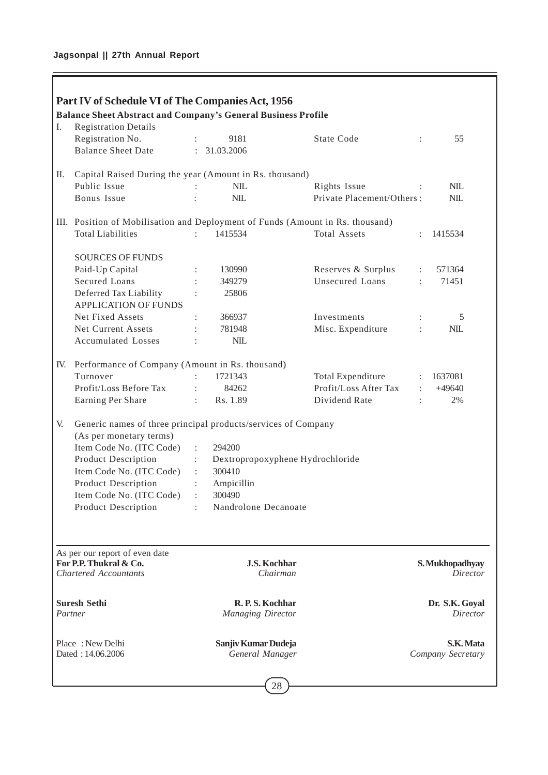Ē

|     | Part IV of Schedule VI of The Companies Act, 1956<br><b>Balance Sheet Abstract and Company's General Business Profile</b> |                                 |                                  |                      |                                    |
|-----|---------------------------------------------------------------------------------------------------------------------------|---------------------------------|----------------------------------|----------------------|------------------------------------|
| I.  | <b>Registration Details</b>                                                                                               |                                 |                                  |                      |                                    |
|     | Registration No.                                                                                                          | 9181                            | <b>State Code</b>                | $\ddot{\phantom{a}}$ | 55                                 |
|     | <b>Balance Sheet Date</b>                                                                                                 | : 31.03.2006                    |                                  |                      |                                    |
| П.  | Capital Raised During the year (Amount in Rs. thousand)                                                                   |                                 |                                  |                      |                                    |
|     | Public Issue                                                                                                              | NIL                             | Rights Issue                     |                      | $NIL$                              |
|     | Bonus Issue                                                                                                               | NIL                             | Private Placement/Others:        |                      | <b>NIL</b>                         |
|     | III. Position of Mobilisation and Deployment of Funds (Amount in Rs. thousand)                                            |                                 |                                  |                      |                                    |
|     | <b>Total Liabilities</b>                                                                                                  | 1415534                         | <b>Total Assets</b>              |                      | 1415534                            |
|     | <b>SOURCES OF FUNDS</b>                                                                                                   |                                 |                                  |                      |                                    |
|     | Paid-Up Capital                                                                                                           | 130990                          | Reserves & Surplus               | $\ddot{\phantom{a}}$ | 571364                             |
|     | <b>Secured Loans</b>                                                                                                      | 349279                          | Unsecured Loans                  | $\ddot{\cdot}$       | 71451                              |
|     | Deferred Tax Liability<br><b>APPLICATION OF FUNDS</b>                                                                     | 25806                           |                                  |                      |                                    |
|     | Net Fixed Assets                                                                                                          | 366937                          | Investments                      |                      | 5                                  |
|     | Net Current Assets                                                                                                        | 781948                          | Misc. Expenditure                | $\ddot{\cdot}$       | <b>NIL</b>                         |
|     | <b>Accumulated Losses</b>                                                                                                 | <b>NIL</b>                      |                                  |                      |                                    |
| IV. | Performance of Company (Amount in Rs. thousand)                                                                           |                                 |                                  |                      |                                    |
|     | Turnover                                                                                                                  | 1721343                         | Total Expenditure                | $\ddot{\phantom{a}}$ | 1637081                            |
|     | Profit/Loss Before Tax                                                                                                    | 84262                           | Profit/Loss After Tax            | $\ddot{\cdot}$       | $+49640$                           |
|     | Earning Per Share                                                                                                         | Rs. 1.89<br>÷.                  | Dividend Rate                    | $\ddot{\cdot}$       | 2%                                 |
| V.  | Generic names of three principal products/services of Company                                                             |                                 |                                  |                      |                                    |
|     | (As per monetary terms)                                                                                                   |                                 |                                  |                      |                                    |
|     | Item Code No. (ITC Code)                                                                                                  | 294200<br>$\ddot{\phantom{a}}$  |                                  |                      |                                    |
|     | <b>Product Description</b>                                                                                                | t.                              | Dextropropoxyphene Hydrochloride |                      |                                    |
|     | Item Code No. (ITC Code)                                                                                                  | 300410                          |                                  |                      |                                    |
|     | <b>Product Description</b>                                                                                                | Ampicillin<br>$\ddot{\cdot}$    |                                  |                      |                                    |
|     | Item Code No. (ITC Code)                                                                                                  | 300490                          |                                  |                      |                                    |
|     | <b>Product Description</b>                                                                                                | Nandrolone Decanoate            |                                  |                      |                                    |
|     |                                                                                                                           |                                 |                                  |                      |                                    |
|     | As per our report of even date                                                                                            |                                 |                                  |                      |                                    |
|     | For P.P. Thukral & Co.                                                                                                    | <b>J.S. Kochhar</b><br>Chairman |                                  |                      | S. Mukhopadhyay<br><i>Director</i> |
|     | <b>Chartered Accountants</b>                                                                                              |                                 |                                  |                      |                                    |
|     | <b>Suresh Sethi</b>                                                                                                       | R.P.S. Kochhar                  |                                  |                      | Dr. S.K. Goyal                     |
|     | Partner                                                                                                                   | <b>Managing Director</b>        |                                  |                      | Director                           |
|     | Place: New Delhi                                                                                                          | Sanjiv Kumar Dudeja             |                                  |                      | S.K. Mata                          |
|     | Dated: 14.06.2006                                                                                                         | General Manager                 |                                  |                      | Company Secretary                  |
|     |                                                                                                                           | 28                              |                                  |                      |                                    |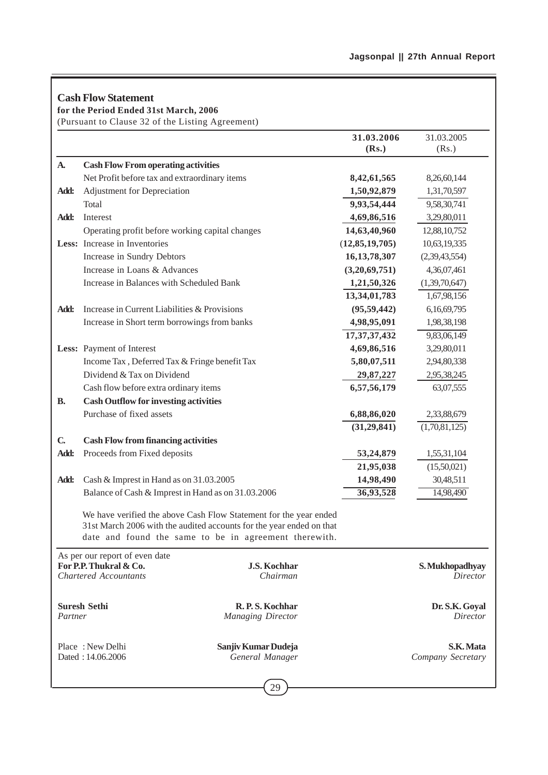# **Cash Flow Statement**

**for the Period Ended 31st March, 2006**

(Pursuant to Clause 32 of the Listing Agreement)

|              |                                                        |                                                                                                                                                                                                    | 31.03.2006        | 31.03.2005                     |
|--------------|--------------------------------------------------------|----------------------------------------------------------------------------------------------------------------------------------------------------------------------------------------------------|-------------------|--------------------------------|
|              |                                                        |                                                                                                                                                                                                    | (Rs.)             | (Rs.)                          |
| <b>A.</b>    | <b>Cash Flow From operating activities</b>             |                                                                                                                                                                                                    |                   |                                |
|              | Net Profit before tax and extraordinary items          |                                                                                                                                                                                                    | 8,42,61,565       | 8,26,60,144                    |
| Add:         | Adjustment for Depreciation                            |                                                                                                                                                                                                    | 1,50,92,879       | 1,31,70,597                    |
|              | Total                                                  |                                                                                                                                                                                                    | 9,93,54,444       | 9,58,30,741                    |
| Add:         | Interest                                               |                                                                                                                                                                                                    | 4,69,86,516       | 3,29,80,011                    |
|              | Operating profit before working capital changes        |                                                                                                                                                                                                    | 14,63,40,960      | 12,88,10,752                   |
|              | Less: Increase in Inventories                          |                                                                                                                                                                                                    | (12, 85, 19, 705) | 10,63,19,335                   |
|              | Increase in Sundry Debtors                             |                                                                                                                                                                                                    | 16, 13, 78, 307   | (2,39,43,554)                  |
|              | Increase in Loans & Advances                           |                                                                                                                                                                                                    | (3,20,69,751)     | 4,36,07,461                    |
|              | Increase in Balances with Scheduled Bank               |                                                                                                                                                                                                    | 1,21,50,326       | (1,39,70,647)                  |
|              |                                                        |                                                                                                                                                                                                    | 13,34,01,783      | 1,67,98,156                    |
| Add:         | Increase in Current Liabilities & Provisions           |                                                                                                                                                                                                    | (95, 59, 442)     | 6,16,69,795                    |
|              | Increase in Short term borrowings from banks           |                                                                                                                                                                                                    | 4,98,95,091       | 1,98,38,198                    |
|              |                                                        | 17, 37, 37, 432                                                                                                                                                                                    | 9,83,06,149       |                                |
|              | Less: Payment of Interest                              |                                                                                                                                                                                                    | 4,69,86,516       | 3,29,80,011                    |
|              | Income Tax, Deferred Tax & Fringe benefit Tax          |                                                                                                                                                                                                    | 5,80,07,511       | 2,94,80,338                    |
|              | Dividend & Tax on Dividend                             |                                                                                                                                                                                                    | 29,87,227         | 2,95,38,245                    |
|              | Cash flow before extra ordinary items                  |                                                                                                                                                                                                    | 6,57,56,179       | 63,07,555                      |
| <b>B.</b>    | <b>Cash Outflow for investing activities</b>           |                                                                                                                                                                                                    |                   |                                |
|              | Purchase of fixed assets                               |                                                                                                                                                                                                    | 6,88,86,020       | 2,33,88,679                    |
|              |                                                        |                                                                                                                                                                                                    | (31,29,841)       | (1,70,81,125)                  |
| $\mathbf{C}$ | <b>Cash Flow from financing activities</b>             |                                                                                                                                                                                                    |                   |                                |
| Add:         | Proceeds from Fixed deposits                           |                                                                                                                                                                                                    | 53,24,879         | 1,55,31,104                    |
|              |                                                        |                                                                                                                                                                                                    | 21,95,038         | (15,50,021)                    |
| Add:         | Cash & Imprest in Hand as on 31.03.2005                |                                                                                                                                                                                                    | 14,98,490         | 30,48,511                      |
|              | Balance of Cash & Imprest in Hand as on 31.03.2006     |                                                                                                                                                                                                    | 36,93,528         | 14,98,490                      |
|              |                                                        | We have verified the above Cash Flow Statement for the year ended<br>31st March 2006 with the audited accounts for the year ended on that<br>date and found the same to be in agreement therewith. |                   |                                |
|              | As per our report of even date                         |                                                                                                                                                                                                    |                   |                                |
|              | For P.P. Thukral & Co.<br><b>Chartered Accountants</b> | <b>J.S. Kochhar</b><br>Chairman                                                                                                                                                                    |                   | S. Mukhopadhyay<br>Director    |
| Partner      | <b>Suresh Sethi</b>                                    | R. P. S. Kochhar<br><b>Managing Director</b>                                                                                                                                                       |                   | Dr. S.K. Goyal<br>Director     |
|              | Place: New Delhi<br>Dated: 14.06.2006                  | Sanjiv Kumar Dudeja<br>General Manager                                                                                                                                                             |                   | S.K. Mata<br>Company Secretary |
|              |                                                        |                                                                                                                                                                                                    |                   |                                |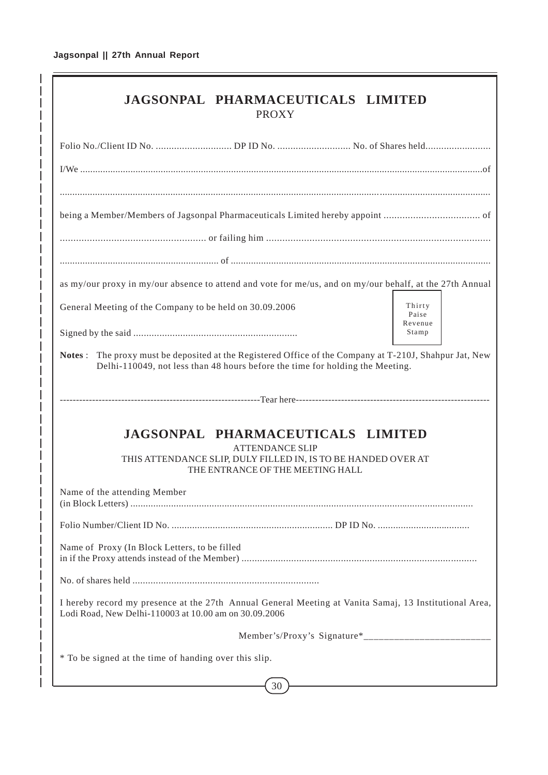| JAGSONPAL PHARMACEUTICALS LIMITED<br><b>PROXY</b>                                                                                                                                       |                            |  |  |  |  |  |  |
|-----------------------------------------------------------------------------------------------------------------------------------------------------------------------------------------|----------------------------|--|--|--|--|--|--|
|                                                                                                                                                                                         |                            |  |  |  |  |  |  |
|                                                                                                                                                                                         |                            |  |  |  |  |  |  |
|                                                                                                                                                                                         |                            |  |  |  |  |  |  |
|                                                                                                                                                                                         |                            |  |  |  |  |  |  |
|                                                                                                                                                                                         |                            |  |  |  |  |  |  |
|                                                                                                                                                                                         |                            |  |  |  |  |  |  |
| as my/our proxy in my/our absence to attend and vote for me/us, and on my/our behalf, at the 27th Annual                                                                                |                            |  |  |  |  |  |  |
| General Meeting of the Company to be held on 30.09.2006                                                                                                                                 | Thirty<br>Paise<br>Revenue |  |  |  |  |  |  |
|                                                                                                                                                                                         | Stamp                      |  |  |  |  |  |  |
| Notes: The proxy must be deposited at the Registered Office of the Company at T-210J, Shahpur Jat, New<br>Delhi-110049, not less than 48 hours before the time for holding the Meeting. |                            |  |  |  |  |  |  |
|                                                                                                                                                                                         |                            |  |  |  |  |  |  |
| <b>JAGSONPAL PHARMACEUTICALS LIMITED</b><br><b>ATTENDANCE SLIP</b><br>THIS ATTENDANCE SLIP, DULY FILLED IN, IS TO BE HANDED OVER AT<br>THE ENTRANCE OF THE MEETING HALL                 |                            |  |  |  |  |  |  |
| Name of the attending Member                                                                                                                                                            |                            |  |  |  |  |  |  |
|                                                                                                                                                                                         |                            |  |  |  |  |  |  |
| Name of Proxy (In Block Letters, to be filled                                                                                                                                           |                            |  |  |  |  |  |  |
|                                                                                                                                                                                         |                            |  |  |  |  |  |  |
| I hereby record my presence at the 27th Annual General Meeting at Vanita Samaj, 13 Institutional Area,<br>Lodi Road, New Delhi-110003 at 10.00 am on 30.09.2006                         |                            |  |  |  |  |  |  |
|                                                                                                                                                                                         |                            |  |  |  |  |  |  |
| * To be signed at the time of handing over this slip.                                                                                                                                   |                            |  |  |  |  |  |  |
| 30                                                                                                                                                                                      |                            |  |  |  |  |  |  |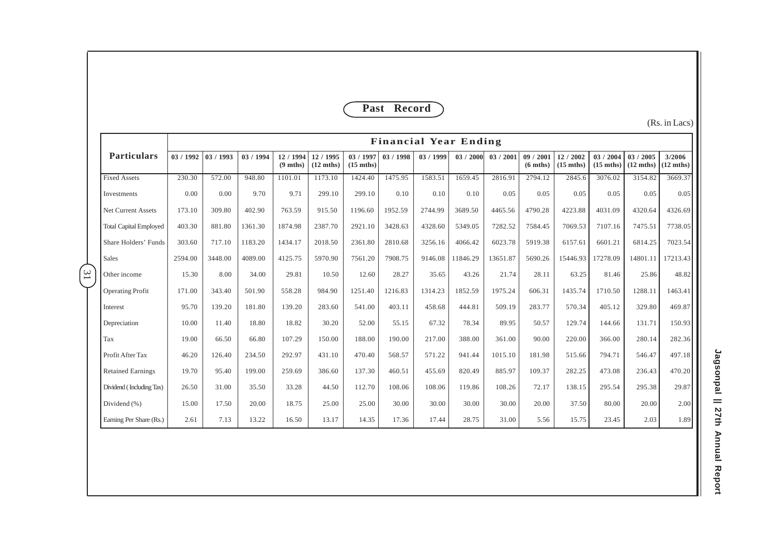## **Past Record**

(Rs. in Lacs)

|                |                               | <b>Financial Year Ending</b> |           |         |                               |                                  |                                  |           |         |           |          |                               |                                |                                |                                  |                               |
|----------------|-------------------------------|------------------------------|-----------|---------|-------------------------------|----------------------------------|----------------------------------|-----------|---------|-----------|----------|-------------------------------|--------------------------------|--------------------------------|----------------------------------|-------------------------------|
|                | <b>Particulars</b>            | 03/1992                      | 03 / 1993 | 03/1994 | 12/1994<br>$(9 \text{ mths})$ | 12 / 1995<br>$(12 \text{ mths})$ | 03 / 1997<br>$(15 \text{ mths})$ | 03 / 1998 | 03/1999 | 03 / 2000 | 03/2001  | 09/2001<br>$(6 \text{ mths})$ | 12/2002<br>$(15 \text{ mths})$ | 03/2004<br>$(15 \text{ mths})$ | 03 / 2005<br>$(12 \text{ mths})$ | 3/2006<br>$(12 \text{ mths})$ |
|                | <b>Fixed Assets</b>           | 230.30                       | 572.00    | 948.80  | 1101.01                       | 1173.10                          | 1424.40                          | 1475.95   | 1583.51 | 1659.45   | 2816.91  | 2794.12                       | 2845.6                         | 3076.02                        | 3154.82                          | 3669.37                       |
|                | Investments                   | 0.00                         | 0.00      | 9.70    | 9.71                          | 299.10                           | 299.10                           | 0.10      | 0.10    | 0.10      | 0.05     | 0.05                          | 0.05                           | 0.05                           | 0.05                             | 0.05                          |
|                | Net Current Assets            | 173.10                       | 309.80    | 402.90  | 763.59                        | 915.50                           | 1196.60                          | 1952.59   | 2744.99 | 3689.50   | 4465.56  | 4790.28                       | 4223.88                        | 4031.09                        | 4320.64                          | 4326.69                       |
|                | <b>Total Capital Employed</b> | 403.30                       | 881.80    | 1361.30 | 1874.98                       | 2387.70                          | 2921.10                          | 3428.63   | 4328.60 | 5349.05   | 7282.52  | 7584.45                       | 7069.53                        | 7107.16                        | 7475.51                          | 7738.05                       |
|                | Share Holders' Funds          | 303.60                       | 717.10    | 1183.20 | 1434.17                       | 2018.50                          | 2361.80                          | 2810.68   | 3256.16 | 4066.42   | 6023.78  | 5919.38                       | 6157.61                        | 6601.21                        | 6814.25                          | 7023.54                       |
|                | Sales                         | 2594.00                      | 3448.00   | 4089.00 | 4125.75                       | 5970.90                          | 7561.20                          | 7908.75   | 9146.08 | 11846.29  | 13651.87 | 5690.26                       | 15446.93                       | 17278.09                       | 14801.11                         | 17213.43                      |
| $\overline{1}$ | Other income                  | 15.30                        | 8.00      | 34.00   | 29.81                         | 10.50                            | 12.60                            | 28.27     | 35.65   | 43.26     | 21.74    | 28.11                         | 63.25                          | 81.46                          | 25.86                            | 48.82                         |
|                | <b>Operating Profit</b>       | 171.00                       | 343.40    | 501.90  | 558.28                        | 984.90                           | 1251.40                          | 1216.83   | 1314.23 | 1852.59   | 1975.24  | 606.31                        | 1435.74                        | 1710.50                        | 1288.11                          | 1463.41                       |
|                | Interest                      | 95.70                        | 139.20    | 181.80  | 139.20                        | 283.60                           | 541.00                           | 403.11    | 458.68  | 444.81    | 509.19   | 283.77                        | 570.34                         | 405.12                         | 329.80                           | 469.87                        |
|                | Depreciation                  | 10.00                        | 11.40     | 18.80   | 18.82                         | 30.20                            | 52.00                            | 55.15     | 67.32   | 78.34     | 89.95    | 50.57                         | 129.74                         | 144.66                         | 131.71                           | 150.93                        |
|                | Tax                           | 19.00                        | 66.50     | 66.80   | 107.29                        | 150.00                           | 188.00                           | 190.00    | 217.00  | 388.00    | 361.00   | 90.00                         | 220.00                         | 366.00                         | 280.14                           | 282.36                        |
|                | Profit After Tax              | 46.20                        | 126.40    | 234.50  | 292.97                        | 431.10                           | 470.40                           | 568.57    | 571.22  | 941.44    | 1015.10  | 181.98                        | 515.66                         | 794.71                         | 546.47                           | 497.18                        |
|                | <b>Retained Earnings</b>      | 19.70                        | 95.40     | 199.00  | 259.69                        | 386.60                           | 137.30                           | 460.51    | 455.69  | 820.49    | 885.97   | 109.37                        | 282.25                         | 473.08                         | 236.43                           | 470.20                        |
|                | Dividend (Including Tax)      | 26.50                        | 31.00     | 35.50   | 33.28                         | 44.50                            | 112.70                           | 108.06    | 108.06  | 119.86    | 108.26   | 72.17                         | 138.15                         | 295.54                         | 295.38                           | 29.87                         |
|                | Dividend (%)                  | 15.00                        | 17.50     | 20.00   | 18.75                         | 25.00                            | 25.00                            | 30.00     | 30.00   | 30.00     | 30.00    | 20.00                         | 37.50                          | 80.00                          | 20.00                            | 2.00                          |
|                | Earning Per Share (Rs.)       | 2.61                         | 7.13      | 13.22   | 16.50                         | 13.17                            | 14.35                            | 17.36     | 17.44   | 28.75     | 31.00    | 5.56                          | 15.75                          | 23.45                          | 2.03                             | 1.89                          |